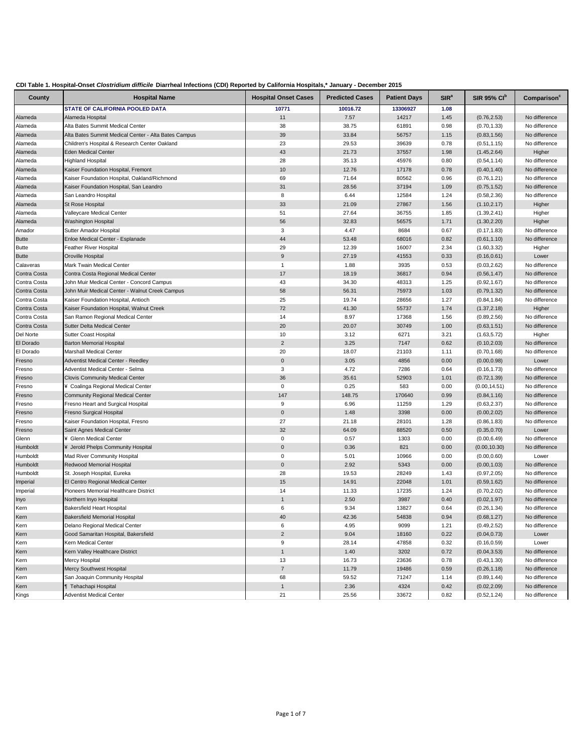| CDI Table 1. Hospital-Onset Clostridium difficile Diarrheal Infections (CDI) Reported by California Hospitals,* January - December 2015 |  |  |  |
|-----------------------------------------------------------------------------------------------------------------------------------------|--|--|--|
|-----------------------------------------------------------------------------------------------------------------------------------------|--|--|--|

| <b>STATE OF CALIFORNIA POOLED DATA</b><br>10771<br>10016.72<br>13306927<br>1.08<br>11<br>7.57<br>14217<br>1.45<br>Alameda<br>Alameda Hospital<br>(0.76, 2.53)<br>Alameda<br>Alta Bates Summit Medical Center<br>38<br>38.75<br>61891<br>0.98<br>(0.70, 1.33)<br>39<br>33.84<br>Alameda<br>Alta Bates Summit Medical Center - Alta Bates Campus<br>56757<br>1.15<br>(0.83, 1.56)<br>Alameda<br>Children's Hospital & Research Center Oakland<br>23<br>29.53<br>39639<br>0.78<br>(0.51, 1.15)<br>Alameda<br>43<br>21.73<br>37557<br>1.98<br><b>Eden Medical Center</b><br>(1.45, 2.64)<br>Higher<br>Alameda<br><b>Highland Hospital</b><br>28<br>35.13<br>45976<br>0.80<br>(0.54, 1.14)<br>No difference<br>10<br>12.76<br>17178<br>0.78<br>Alameda<br>Kaiser Foundation Hospital, Fremont<br>(0.40, 1.40)<br>Alameda<br>Kaiser Foundation Hospital, Oakland/Richmond<br>69<br>71.64<br>80562<br>0.96<br>No difference<br>(0.76, 1.21)<br>31<br>28.56<br>37194<br>1.09<br>Alameda<br>Kaiser Foundation Hospital, San Leandro<br>(0.75, 1.52)<br>8<br>6.44<br>12584<br>Alameda<br>San Leandro Hospital<br>1.24<br>(0.58, 2.36)<br>No difference<br>33<br>21.09<br>27867<br>Alameda<br>St Rose Hospital<br>1.56<br>(1.10, 2.17)<br>Higher<br>51<br>27.64<br>36755<br>Alameda<br>Valleycare Medical Center<br>1.85<br>(1.39, 2.41)<br>Higher<br>56<br>32.83<br>56575<br>Higher<br>Alameda<br><b>Washington Hospital</b><br>1.71<br>(1.30, 2.20)<br>3<br>4.47<br>8684<br>Amador<br>Sutter Amador Hospital<br>0.67<br>(0.17, 1.83)<br>No difference<br>44<br>53.48<br><b>Butte</b><br>Enloe Medical Center - Esplanade<br>68016<br>0.82<br>(0.61, 1.10)<br>Feather River Hospital<br>29<br>12.39<br>16007<br>2.34<br>(1.60, 3.32)<br>Butte<br>Higher<br><b>Butte</b><br>Oroville Hospital<br>9<br>27.19<br>41553<br>0.33<br>(0.16, 0.61)<br>Lower<br>Mark Twain Medical Center<br>1.88<br>3935<br>0.53<br>(0.03, 2.62)<br>No difference<br>Calaveras<br>$\mathbf{1}$<br>Contra Costa<br>Contra Costa Regional Medical Center<br>17<br>18.19<br>36817<br>0.94<br>(0.56, 1.47)<br>Contra Costa<br>43<br>34.30<br>48313<br>1.25<br>(0.92, 1.67)<br>John Muir Medical Center - Concord Campus<br>No difference<br>Contra Costa<br>58<br>56.31<br>75973<br>1.03<br>John Muir Medical Center - Walnut Creek Campus<br>(0.79, 1.32)<br>Contra Costa<br>25<br>19.74<br>28656<br>1.27<br>Kaiser Foundation Hospital, Antioch<br>(0.84, 1.84)<br>No difference<br>72<br>Contra Costa<br>41.30<br>55737<br>1.74<br>(1.37, 2.18)<br>Kaiser Foundation Hospital, Walnut Creek<br>Higher<br>Contra Costa<br>14<br>8.97<br>San Ramon Regional Medical Center<br>17368<br>1.56<br>(0.89, 2.56)<br>No difference<br>20<br>Contra Costa<br>20.07<br>30749<br>1.00<br>Sutter Delta Medical Center<br>(0.63, 1.51)<br>Del Norte<br>10<br>3.12<br><b>Sutter Coast Hospital</b><br>6271<br>3.21<br>(1.63, 5.72)<br>Higher<br>$\overline{2}$<br>El Dorado<br>3.25<br><b>Barton Memorial Hospital</b><br>7147<br>0.62<br>(0.10, 2.03)<br>20<br>18.07<br>El Dorado<br>Marshall Medical Center<br>21103<br>1.11<br>(0.70, 1.68)<br>$\pmb{0}$<br>3.05<br>4856<br>0.00<br>Lower<br>Fresno<br><b>Adventist Medical Center - Reedley</b><br>(0.00, 0.98)<br>Adventist Medical Center - Selma<br>3<br>4.72<br>0.64<br>Fresno<br>7286<br>(0.16, 1.73)<br><b>Clovis Community Medical Center</b><br>36<br>35.61<br>52903<br>1.01<br>Fresno<br>(0.72, 1.39)<br>¥ Coalinga Regional Medical Center<br>$\mathbf 0$<br>0.25<br>583<br>0.00<br>No difference<br>Fresno<br>(0.00, 14.51)<br>147<br>148.75<br>170640<br>0.99<br><b>Community Regional Medical Center</b><br>(0.84, 1.16)<br>Fresno<br>9<br>6.96<br>11259<br>1.29<br>Fresno Heart and Surgical Hospital<br>(0.63, 2.37)<br>No difference<br>Fresno<br>$\mathbf 0$<br>1.48<br>3398<br>0.00<br>Fresno Surgical Hospital<br>(0.00, 2.02)<br>Fresno<br>27<br>21.18<br>Kaiser Foundation Hospital, Fresno<br>28101<br>1.28<br>(0.86, 1.83)<br>No difference<br>Fresno<br>32<br>64.09<br>88520<br>0.50<br>Saint Agnes Medical Center<br>(0.35, 0.70)<br>Lower<br>Fresno<br>¥ Glenn Medical Center<br>$\mathbf 0$<br>0.57<br>1303<br>No difference<br>Glenn<br>0.00<br>(0.00, 6.49)<br>$\mathbf 0$<br>0.36<br>821<br>Humboldt<br>¥ Jerold Phelps Community Hospital<br>0.00<br>(0.00, 10.30)<br>$\mathbf 0$<br>5.01<br>Humboldt<br>Mad River Community Hospital<br>10966<br>0.00<br>(0.00, 0.60)<br>Lower<br>Humboldt<br>Redwood Memorial Hospital<br>$\mathbf 0$<br>2.92<br>5343<br>0.00<br>(0.00, 1.03)<br>Humboldt<br>28<br>19.53<br>28249<br>St. Joseph Hospital, Eureka<br>1.43<br>(0.97, 2.05)<br>Imperial<br>15<br>14.91<br>22048<br>1.01<br>El Centro Regional Medical Center<br>(0.59, 1.62)<br>Pioneers Memorial Healthcare District<br>14<br>11.33<br>17235<br>1.24<br>(0.70, 2.02)<br>Imperial<br>2.50<br>Northern Inyo Hospital<br>3987<br>0.40<br>1<br>(0.02, 1.97)<br>Inyo | County | <b>Hospital Name</b> | <b>Hospital Onset Cases</b> | <b>Predicted Cases</b> | <b>Patient Days</b> | SIR <sup>a</sup> | <b>SIR 95% CI<sup>b</sup></b> | Comparison    |
|----------------------------------------------------------------------------------------------------------------------------------------------------------------------------------------------------------------------------------------------------------------------------------------------------------------------------------------------------------------------------------------------------------------------------------------------------------------------------------------------------------------------------------------------------------------------------------------------------------------------------------------------------------------------------------------------------------------------------------------------------------------------------------------------------------------------------------------------------------------------------------------------------------------------------------------------------------------------------------------------------------------------------------------------------------------------------------------------------------------------------------------------------------------------------------------------------------------------------------------------------------------------------------------------------------------------------------------------------------------------------------------------------------------------------------------------------------------------------------------------------------------------------------------------------------------------------------------------------------------------------------------------------------------------------------------------------------------------------------------------------------------------------------------------------------------------------------------------------------------------------------------------------------------------------------------------------------------------------------------------------------------------------------------------------------------------------------------------------------------------------------------------------------------------------------------------------------------------------------------------------------------------------------------------------------------------------------------------------------------------------------------------------------------------------------------------------------------------------------------------------------------------------------------------------------------------------------------------------------------------------------------------------------------------------------------------------------------------------------------------------------------------------------------------------------------------------------------------------------------------------------------------------------------------------------------------------------------------------------------------------------------------------------------------------------------------------------------------------------------------------------------------------------------------------------------------------------------------------------------------------------------------------------------------------------------------------------------------------------------------------------------------------------------------------------------------------------------------------------------------------------------------------------------------------------------------------------------------------------------------------------------------------------------------------------------------------------------------------------------------------------------------------------------------------------------------------------------------------------------------------------------------------------------------------------------------------------------------------------------------------------------------------------------------------------------------------------------------------------------------------------------------------------------------------------------------------------------------------------------------------------------------------------------------------------------------------------------------------------------------------------------------------------------------------------------------------------------------------------------------------------------------------------------------------------------------------------------------------------------------------------------------------------------------------------------------------------------------------------------------------------------------------------------------------------------------------------------------------------------------------------------------------|--------|----------------------|-----------------------------|------------------------|---------------------|------------------|-------------------------------|---------------|
|                                                                                                                                                                                                                                                                                                                                                                                                                                                                                                                                                                                                                                                                                                                                                                                                                                                                                                                                                                                                                                                                                                                                                                                                                                                                                                                                                                                                                                                                                                                                                                                                                                                                                                                                                                                                                                                                                                                                                                                                                                                                                                                                                                                                                                                                                                                                                                                                                                                                                                                                                                                                                                                                                                                                                                                                                                                                                                                                                                                                                                                                                                                                                                                                                                                                                                                                                                                                                                                                                                                                                                                                                                                                                                                                                                                                                                                                                                                                                                                                                                                                                                                                                                                                                                                                                                                                                                                                                                                                                                                                                                                                                                                                                                                                                                                                                                                                                                    |        |                      |                             |                        |                     |                  |                               |               |
|                                                                                                                                                                                                                                                                                                                                                                                                                                                                                                                                                                                                                                                                                                                                                                                                                                                                                                                                                                                                                                                                                                                                                                                                                                                                                                                                                                                                                                                                                                                                                                                                                                                                                                                                                                                                                                                                                                                                                                                                                                                                                                                                                                                                                                                                                                                                                                                                                                                                                                                                                                                                                                                                                                                                                                                                                                                                                                                                                                                                                                                                                                                                                                                                                                                                                                                                                                                                                                                                                                                                                                                                                                                                                                                                                                                                                                                                                                                                                                                                                                                                                                                                                                                                                                                                                                                                                                                                                                                                                                                                                                                                                                                                                                                                                                                                                                                                                                    |        |                      |                             |                        |                     |                  |                               | No difference |
|                                                                                                                                                                                                                                                                                                                                                                                                                                                                                                                                                                                                                                                                                                                                                                                                                                                                                                                                                                                                                                                                                                                                                                                                                                                                                                                                                                                                                                                                                                                                                                                                                                                                                                                                                                                                                                                                                                                                                                                                                                                                                                                                                                                                                                                                                                                                                                                                                                                                                                                                                                                                                                                                                                                                                                                                                                                                                                                                                                                                                                                                                                                                                                                                                                                                                                                                                                                                                                                                                                                                                                                                                                                                                                                                                                                                                                                                                                                                                                                                                                                                                                                                                                                                                                                                                                                                                                                                                                                                                                                                                                                                                                                                                                                                                                                                                                                                                                    |        |                      |                             |                        |                     |                  |                               | No difference |
|                                                                                                                                                                                                                                                                                                                                                                                                                                                                                                                                                                                                                                                                                                                                                                                                                                                                                                                                                                                                                                                                                                                                                                                                                                                                                                                                                                                                                                                                                                                                                                                                                                                                                                                                                                                                                                                                                                                                                                                                                                                                                                                                                                                                                                                                                                                                                                                                                                                                                                                                                                                                                                                                                                                                                                                                                                                                                                                                                                                                                                                                                                                                                                                                                                                                                                                                                                                                                                                                                                                                                                                                                                                                                                                                                                                                                                                                                                                                                                                                                                                                                                                                                                                                                                                                                                                                                                                                                                                                                                                                                                                                                                                                                                                                                                                                                                                                                                    |        |                      |                             |                        |                     |                  |                               | No difference |
|                                                                                                                                                                                                                                                                                                                                                                                                                                                                                                                                                                                                                                                                                                                                                                                                                                                                                                                                                                                                                                                                                                                                                                                                                                                                                                                                                                                                                                                                                                                                                                                                                                                                                                                                                                                                                                                                                                                                                                                                                                                                                                                                                                                                                                                                                                                                                                                                                                                                                                                                                                                                                                                                                                                                                                                                                                                                                                                                                                                                                                                                                                                                                                                                                                                                                                                                                                                                                                                                                                                                                                                                                                                                                                                                                                                                                                                                                                                                                                                                                                                                                                                                                                                                                                                                                                                                                                                                                                                                                                                                                                                                                                                                                                                                                                                                                                                                                                    |        |                      |                             |                        |                     |                  |                               | No difference |
|                                                                                                                                                                                                                                                                                                                                                                                                                                                                                                                                                                                                                                                                                                                                                                                                                                                                                                                                                                                                                                                                                                                                                                                                                                                                                                                                                                                                                                                                                                                                                                                                                                                                                                                                                                                                                                                                                                                                                                                                                                                                                                                                                                                                                                                                                                                                                                                                                                                                                                                                                                                                                                                                                                                                                                                                                                                                                                                                                                                                                                                                                                                                                                                                                                                                                                                                                                                                                                                                                                                                                                                                                                                                                                                                                                                                                                                                                                                                                                                                                                                                                                                                                                                                                                                                                                                                                                                                                                                                                                                                                                                                                                                                                                                                                                                                                                                                                                    |        |                      |                             |                        |                     |                  |                               |               |
|                                                                                                                                                                                                                                                                                                                                                                                                                                                                                                                                                                                                                                                                                                                                                                                                                                                                                                                                                                                                                                                                                                                                                                                                                                                                                                                                                                                                                                                                                                                                                                                                                                                                                                                                                                                                                                                                                                                                                                                                                                                                                                                                                                                                                                                                                                                                                                                                                                                                                                                                                                                                                                                                                                                                                                                                                                                                                                                                                                                                                                                                                                                                                                                                                                                                                                                                                                                                                                                                                                                                                                                                                                                                                                                                                                                                                                                                                                                                                                                                                                                                                                                                                                                                                                                                                                                                                                                                                                                                                                                                                                                                                                                                                                                                                                                                                                                                                                    |        |                      |                             |                        |                     |                  |                               |               |
|                                                                                                                                                                                                                                                                                                                                                                                                                                                                                                                                                                                                                                                                                                                                                                                                                                                                                                                                                                                                                                                                                                                                                                                                                                                                                                                                                                                                                                                                                                                                                                                                                                                                                                                                                                                                                                                                                                                                                                                                                                                                                                                                                                                                                                                                                                                                                                                                                                                                                                                                                                                                                                                                                                                                                                                                                                                                                                                                                                                                                                                                                                                                                                                                                                                                                                                                                                                                                                                                                                                                                                                                                                                                                                                                                                                                                                                                                                                                                                                                                                                                                                                                                                                                                                                                                                                                                                                                                                                                                                                                                                                                                                                                                                                                                                                                                                                                                                    |        |                      |                             |                        |                     |                  |                               | No difference |
|                                                                                                                                                                                                                                                                                                                                                                                                                                                                                                                                                                                                                                                                                                                                                                                                                                                                                                                                                                                                                                                                                                                                                                                                                                                                                                                                                                                                                                                                                                                                                                                                                                                                                                                                                                                                                                                                                                                                                                                                                                                                                                                                                                                                                                                                                                                                                                                                                                                                                                                                                                                                                                                                                                                                                                                                                                                                                                                                                                                                                                                                                                                                                                                                                                                                                                                                                                                                                                                                                                                                                                                                                                                                                                                                                                                                                                                                                                                                                                                                                                                                                                                                                                                                                                                                                                                                                                                                                                                                                                                                                                                                                                                                                                                                                                                                                                                                                                    |        |                      |                             |                        |                     |                  |                               |               |
|                                                                                                                                                                                                                                                                                                                                                                                                                                                                                                                                                                                                                                                                                                                                                                                                                                                                                                                                                                                                                                                                                                                                                                                                                                                                                                                                                                                                                                                                                                                                                                                                                                                                                                                                                                                                                                                                                                                                                                                                                                                                                                                                                                                                                                                                                                                                                                                                                                                                                                                                                                                                                                                                                                                                                                                                                                                                                                                                                                                                                                                                                                                                                                                                                                                                                                                                                                                                                                                                                                                                                                                                                                                                                                                                                                                                                                                                                                                                                                                                                                                                                                                                                                                                                                                                                                                                                                                                                                                                                                                                                                                                                                                                                                                                                                                                                                                                                                    |        |                      |                             |                        |                     |                  |                               | No difference |
|                                                                                                                                                                                                                                                                                                                                                                                                                                                                                                                                                                                                                                                                                                                                                                                                                                                                                                                                                                                                                                                                                                                                                                                                                                                                                                                                                                                                                                                                                                                                                                                                                                                                                                                                                                                                                                                                                                                                                                                                                                                                                                                                                                                                                                                                                                                                                                                                                                                                                                                                                                                                                                                                                                                                                                                                                                                                                                                                                                                                                                                                                                                                                                                                                                                                                                                                                                                                                                                                                                                                                                                                                                                                                                                                                                                                                                                                                                                                                                                                                                                                                                                                                                                                                                                                                                                                                                                                                                                                                                                                                                                                                                                                                                                                                                                                                                                                                                    |        |                      |                             |                        |                     |                  |                               |               |
|                                                                                                                                                                                                                                                                                                                                                                                                                                                                                                                                                                                                                                                                                                                                                                                                                                                                                                                                                                                                                                                                                                                                                                                                                                                                                                                                                                                                                                                                                                                                                                                                                                                                                                                                                                                                                                                                                                                                                                                                                                                                                                                                                                                                                                                                                                                                                                                                                                                                                                                                                                                                                                                                                                                                                                                                                                                                                                                                                                                                                                                                                                                                                                                                                                                                                                                                                                                                                                                                                                                                                                                                                                                                                                                                                                                                                                                                                                                                                                                                                                                                                                                                                                                                                                                                                                                                                                                                                                                                                                                                                                                                                                                                                                                                                                                                                                                                                                    |        |                      |                             |                        |                     |                  |                               |               |
|                                                                                                                                                                                                                                                                                                                                                                                                                                                                                                                                                                                                                                                                                                                                                                                                                                                                                                                                                                                                                                                                                                                                                                                                                                                                                                                                                                                                                                                                                                                                                                                                                                                                                                                                                                                                                                                                                                                                                                                                                                                                                                                                                                                                                                                                                                                                                                                                                                                                                                                                                                                                                                                                                                                                                                                                                                                                                                                                                                                                                                                                                                                                                                                                                                                                                                                                                                                                                                                                                                                                                                                                                                                                                                                                                                                                                                                                                                                                                                                                                                                                                                                                                                                                                                                                                                                                                                                                                                                                                                                                                                                                                                                                                                                                                                                                                                                                                                    |        |                      |                             |                        |                     |                  |                               |               |
|                                                                                                                                                                                                                                                                                                                                                                                                                                                                                                                                                                                                                                                                                                                                                                                                                                                                                                                                                                                                                                                                                                                                                                                                                                                                                                                                                                                                                                                                                                                                                                                                                                                                                                                                                                                                                                                                                                                                                                                                                                                                                                                                                                                                                                                                                                                                                                                                                                                                                                                                                                                                                                                                                                                                                                                                                                                                                                                                                                                                                                                                                                                                                                                                                                                                                                                                                                                                                                                                                                                                                                                                                                                                                                                                                                                                                                                                                                                                                                                                                                                                                                                                                                                                                                                                                                                                                                                                                                                                                                                                                                                                                                                                                                                                                                                                                                                                                                    |        |                      |                             |                        |                     |                  |                               |               |
|                                                                                                                                                                                                                                                                                                                                                                                                                                                                                                                                                                                                                                                                                                                                                                                                                                                                                                                                                                                                                                                                                                                                                                                                                                                                                                                                                                                                                                                                                                                                                                                                                                                                                                                                                                                                                                                                                                                                                                                                                                                                                                                                                                                                                                                                                                                                                                                                                                                                                                                                                                                                                                                                                                                                                                                                                                                                                                                                                                                                                                                                                                                                                                                                                                                                                                                                                                                                                                                                                                                                                                                                                                                                                                                                                                                                                                                                                                                                                                                                                                                                                                                                                                                                                                                                                                                                                                                                                                                                                                                                                                                                                                                                                                                                                                                                                                                                                                    |        |                      |                             |                        |                     |                  |                               |               |
|                                                                                                                                                                                                                                                                                                                                                                                                                                                                                                                                                                                                                                                                                                                                                                                                                                                                                                                                                                                                                                                                                                                                                                                                                                                                                                                                                                                                                                                                                                                                                                                                                                                                                                                                                                                                                                                                                                                                                                                                                                                                                                                                                                                                                                                                                                                                                                                                                                                                                                                                                                                                                                                                                                                                                                                                                                                                                                                                                                                                                                                                                                                                                                                                                                                                                                                                                                                                                                                                                                                                                                                                                                                                                                                                                                                                                                                                                                                                                                                                                                                                                                                                                                                                                                                                                                                                                                                                                                                                                                                                                                                                                                                                                                                                                                                                                                                                                                    |        |                      |                             |                        |                     |                  |                               | No difference |
|                                                                                                                                                                                                                                                                                                                                                                                                                                                                                                                                                                                                                                                                                                                                                                                                                                                                                                                                                                                                                                                                                                                                                                                                                                                                                                                                                                                                                                                                                                                                                                                                                                                                                                                                                                                                                                                                                                                                                                                                                                                                                                                                                                                                                                                                                                                                                                                                                                                                                                                                                                                                                                                                                                                                                                                                                                                                                                                                                                                                                                                                                                                                                                                                                                                                                                                                                                                                                                                                                                                                                                                                                                                                                                                                                                                                                                                                                                                                                                                                                                                                                                                                                                                                                                                                                                                                                                                                                                                                                                                                                                                                                                                                                                                                                                                                                                                                                                    |        |                      |                             |                        |                     |                  |                               |               |
|                                                                                                                                                                                                                                                                                                                                                                                                                                                                                                                                                                                                                                                                                                                                                                                                                                                                                                                                                                                                                                                                                                                                                                                                                                                                                                                                                                                                                                                                                                                                                                                                                                                                                                                                                                                                                                                                                                                                                                                                                                                                                                                                                                                                                                                                                                                                                                                                                                                                                                                                                                                                                                                                                                                                                                                                                                                                                                                                                                                                                                                                                                                                                                                                                                                                                                                                                                                                                                                                                                                                                                                                                                                                                                                                                                                                                                                                                                                                                                                                                                                                                                                                                                                                                                                                                                                                                                                                                                                                                                                                                                                                                                                                                                                                                                                                                                                                                                    |        |                      |                             |                        |                     |                  |                               |               |
|                                                                                                                                                                                                                                                                                                                                                                                                                                                                                                                                                                                                                                                                                                                                                                                                                                                                                                                                                                                                                                                                                                                                                                                                                                                                                                                                                                                                                                                                                                                                                                                                                                                                                                                                                                                                                                                                                                                                                                                                                                                                                                                                                                                                                                                                                                                                                                                                                                                                                                                                                                                                                                                                                                                                                                                                                                                                                                                                                                                                                                                                                                                                                                                                                                                                                                                                                                                                                                                                                                                                                                                                                                                                                                                                                                                                                                                                                                                                                                                                                                                                                                                                                                                                                                                                                                                                                                                                                                                                                                                                                                                                                                                                                                                                                                                                                                                                                                    |        |                      |                             |                        |                     |                  |                               |               |
|                                                                                                                                                                                                                                                                                                                                                                                                                                                                                                                                                                                                                                                                                                                                                                                                                                                                                                                                                                                                                                                                                                                                                                                                                                                                                                                                                                                                                                                                                                                                                                                                                                                                                                                                                                                                                                                                                                                                                                                                                                                                                                                                                                                                                                                                                                                                                                                                                                                                                                                                                                                                                                                                                                                                                                                                                                                                                                                                                                                                                                                                                                                                                                                                                                                                                                                                                                                                                                                                                                                                                                                                                                                                                                                                                                                                                                                                                                                                                                                                                                                                                                                                                                                                                                                                                                                                                                                                                                                                                                                                                                                                                                                                                                                                                                                                                                                                                                    |        |                      |                             |                        |                     |                  |                               | No difference |
|                                                                                                                                                                                                                                                                                                                                                                                                                                                                                                                                                                                                                                                                                                                                                                                                                                                                                                                                                                                                                                                                                                                                                                                                                                                                                                                                                                                                                                                                                                                                                                                                                                                                                                                                                                                                                                                                                                                                                                                                                                                                                                                                                                                                                                                                                                                                                                                                                                                                                                                                                                                                                                                                                                                                                                                                                                                                                                                                                                                                                                                                                                                                                                                                                                                                                                                                                                                                                                                                                                                                                                                                                                                                                                                                                                                                                                                                                                                                                                                                                                                                                                                                                                                                                                                                                                                                                                                                                                                                                                                                                                                                                                                                                                                                                                                                                                                                                                    |        |                      |                             |                        |                     |                  |                               |               |
|                                                                                                                                                                                                                                                                                                                                                                                                                                                                                                                                                                                                                                                                                                                                                                                                                                                                                                                                                                                                                                                                                                                                                                                                                                                                                                                                                                                                                                                                                                                                                                                                                                                                                                                                                                                                                                                                                                                                                                                                                                                                                                                                                                                                                                                                                                                                                                                                                                                                                                                                                                                                                                                                                                                                                                                                                                                                                                                                                                                                                                                                                                                                                                                                                                                                                                                                                                                                                                                                                                                                                                                                                                                                                                                                                                                                                                                                                                                                                                                                                                                                                                                                                                                                                                                                                                                                                                                                                                                                                                                                                                                                                                                                                                                                                                                                                                                                                                    |        |                      |                             |                        |                     |                  |                               | No difference |
|                                                                                                                                                                                                                                                                                                                                                                                                                                                                                                                                                                                                                                                                                                                                                                                                                                                                                                                                                                                                                                                                                                                                                                                                                                                                                                                                                                                                                                                                                                                                                                                                                                                                                                                                                                                                                                                                                                                                                                                                                                                                                                                                                                                                                                                                                                                                                                                                                                                                                                                                                                                                                                                                                                                                                                                                                                                                                                                                                                                                                                                                                                                                                                                                                                                                                                                                                                                                                                                                                                                                                                                                                                                                                                                                                                                                                                                                                                                                                                                                                                                                                                                                                                                                                                                                                                                                                                                                                                                                                                                                                                                                                                                                                                                                                                                                                                                                                                    |        |                      |                             |                        |                     |                  |                               |               |
|                                                                                                                                                                                                                                                                                                                                                                                                                                                                                                                                                                                                                                                                                                                                                                                                                                                                                                                                                                                                                                                                                                                                                                                                                                                                                                                                                                                                                                                                                                                                                                                                                                                                                                                                                                                                                                                                                                                                                                                                                                                                                                                                                                                                                                                                                                                                                                                                                                                                                                                                                                                                                                                                                                                                                                                                                                                                                                                                                                                                                                                                                                                                                                                                                                                                                                                                                                                                                                                                                                                                                                                                                                                                                                                                                                                                                                                                                                                                                                                                                                                                                                                                                                                                                                                                                                                                                                                                                                                                                                                                                                                                                                                                                                                                                                                                                                                                                                    |        |                      |                             |                        |                     |                  |                               |               |
|                                                                                                                                                                                                                                                                                                                                                                                                                                                                                                                                                                                                                                                                                                                                                                                                                                                                                                                                                                                                                                                                                                                                                                                                                                                                                                                                                                                                                                                                                                                                                                                                                                                                                                                                                                                                                                                                                                                                                                                                                                                                                                                                                                                                                                                                                                                                                                                                                                                                                                                                                                                                                                                                                                                                                                                                                                                                                                                                                                                                                                                                                                                                                                                                                                                                                                                                                                                                                                                                                                                                                                                                                                                                                                                                                                                                                                                                                                                                                                                                                                                                                                                                                                                                                                                                                                                                                                                                                                                                                                                                                                                                                                                                                                                                                                                                                                                                                                    |        |                      |                             |                        |                     |                  |                               |               |
|                                                                                                                                                                                                                                                                                                                                                                                                                                                                                                                                                                                                                                                                                                                                                                                                                                                                                                                                                                                                                                                                                                                                                                                                                                                                                                                                                                                                                                                                                                                                                                                                                                                                                                                                                                                                                                                                                                                                                                                                                                                                                                                                                                                                                                                                                                                                                                                                                                                                                                                                                                                                                                                                                                                                                                                                                                                                                                                                                                                                                                                                                                                                                                                                                                                                                                                                                                                                                                                                                                                                                                                                                                                                                                                                                                                                                                                                                                                                                                                                                                                                                                                                                                                                                                                                                                                                                                                                                                                                                                                                                                                                                                                                                                                                                                                                                                                                                                    |        |                      |                             |                        |                     |                  |                               | No difference |
|                                                                                                                                                                                                                                                                                                                                                                                                                                                                                                                                                                                                                                                                                                                                                                                                                                                                                                                                                                                                                                                                                                                                                                                                                                                                                                                                                                                                                                                                                                                                                                                                                                                                                                                                                                                                                                                                                                                                                                                                                                                                                                                                                                                                                                                                                                                                                                                                                                                                                                                                                                                                                                                                                                                                                                                                                                                                                                                                                                                                                                                                                                                                                                                                                                                                                                                                                                                                                                                                                                                                                                                                                                                                                                                                                                                                                                                                                                                                                                                                                                                                                                                                                                                                                                                                                                                                                                                                                                                                                                                                                                                                                                                                                                                                                                                                                                                                                                    |        |                      |                             |                        |                     |                  |                               |               |
|                                                                                                                                                                                                                                                                                                                                                                                                                                                                                                                                                                                                                                                                                                                                                                                                                                                                                                                                                                                                                                                                                                                                                                                                                                                                                                                                                                                                                                                                                                                                                                                                                                                                                                                                                                                                                                                                                                                                                                                                                                                                                                                                                                                                                                                                                                                                                                                                                                                                                                                                                                                                                                                                                                                                                                                                                                                                                                                                                                                                                                                                                                                                                                                                                                                                                                                                                                                                                                                                                                                                                                                                                                                                                                                                                                                                                                                                                                                                                                                                                                                                                                                                                                                                                                                                                                                                                                                                                                                                                                                                                                                                                                                                                                                                                                                                                                                                                                    |        |                      |                             |                        |                     |                  |                               | No difference |
|                                                                                                                                                                                                                                                                                                                                                                                                                                                                                                                                                                                                                                                                                                                                                                                                                                                                                                                                                                                                                                                                                                                                                                                                                                                                                                                                                                                                                                                                                                                                                                                                                                                                                                                                                                                                                                                                                                                                                                                                                                                                                                                                                                                                                                                                                                                                                                                                                                                                                                                                                                                                                                                                                                                                                                                                                                                                                                                                                                                                                                                                                                                                                                                                                                                                                                                                                                                                                                                                                                                                                                                                                                                                                                                                                                                                                                                                                                                                                                                                                                                                                                                                                                                                                                                                                                                                                                                                                                                                                                                                                                                                                                                                                                                                                                                                                                                                                                    |        |                      |                             |                        |                     |                  |                               | No difference |
|                                                                                                                                                                                                                                                                                                                                                                                                                                                                                                                                                                                                                                                                                                                                                                                                                                                                                                                                                                                                                                                                                                                                                                                                                                                                                                                                                                                                                                                                                                                                                                                                                                                                                                                                                                                                                                                                                                                                                                                                                                                                                                                                                                                                                                                                                                                                                                                                                                                                                                                                                                                                                                                                                                                                                                                                                                                                                                                                                                                                                                                                                                                                                                                                                                                                                                                                                                                                                                                                                                                                                                                                                                                                                                                                                                                                                                                                                                                                                                                                                                                                                                                                                                                                                                                                                                                                                                                                                                                                                                                                                                                                                                                                                                                                                                                                                                                                                                    |        |                      |                             |                        |                     |                  |                               |               |
|                                                                                                                                                                                                                                                                                                                                                                                                                                                                                                                                                                                                                                                                                                                                                                                                                                                                                                                                                                                                                                                                                                                                                                                                                                                                                                                                                                                                                                                                                                                                                                                                                                                                                                                                                                                                                                                                                                                                                                                                                                                                                                                                                                                                                                                                                                                                                                                                                                                                                                                                                                                                                                                                                                                                                                                                                                                                                                                                                                                                                                                                                                                                                                                                                                                                                                                                                                                                                                                                                                                                                                                                                                                                                                                                                                                                                                                                                                                                                                                                                                                                                                                                                                                                                                                                                                                                                                                                                                                                                                                                                                                                                                                                                                                                                                                                                                                                                                    |        |                      |                             |                        |                     |                  |                               | No difference |
|                                                                                                                                                                                                                                                                                                                                                                                                                                                                                                                                                                                                                                                                                                                                                                                                                                                                                                                                                                                                                                                                                                                                                                                                                                                                                                                                                                                                                                                                                                                                                                                                                                                                                                                                                                                                                                                                                                                                                                                                                                                                                                                                                                                                                                                                                                                                                                                                                                                                                                                                                                                                                                                                                                                                                                                                                                                                                                                                                                                                                                                                                                                                                                                                                                                                                                                                                                                                                                                                                                                                                                                                                                                                                                                                                                                                                                                                                                                                                                                                                                                                                                                                                                                                                                                                                                                                                                                                                                                                                                                                                                                                                                                                                                                                                                                                                                                                                                    |        |                      |                             |                        |                     |                  |                               | No difference |
|                                                                                                                                                                                                                                                                                                                                                                                                                                                                                                                                                                                                                                                                                                                                                                                                                                                                                                                                                                                                                                                                                                                                                                                                                                                                                                                                                                                                                                                                                                                                                                                                                                                                                                                                                                                                                                                                                                                                                                                                                                                                                                                                                                                                                                                                                                                                                                                                                                                                                                                                                                                                                                                                                                                                                                                                                                                                                                                                                                                                                                                                                                                                                                                                                                                                                                                                                                                                                                                                                                                                                                                                                                                                                                                                                                                                                                                                                                                                                                                                                                                                                                                                                                                                                                                                                                                                                                                                                                                                                                                                                                                                                                                                                                                                                                                                                                                                                                    |        |                      |                             |                        |                     |                  |                               |               |
|                                                                                                                                                                                                                                                                                                                                                                                                                                                                                                                                                                                                                                                                                                                                                                                                                                                                                                                                                                                                                                                                                                                                                                                                                                                                                                                                                                                                                                                                                                                                                                                                                                                                                                                                                                                                                                                                                                                                                                                                                                                                                                                                                                                                                                                                                                                                                                                                                                                                                                                                                                                                                                                                                                                                                                                                                                                                                                                                                                                                                                                                                                                                                                                                                                                                                                                                                                                                                                                                                                                                                                                                                                                                                                                                                                                                                                                                                                                                                                                                                                                                                                                                                                                                                                                                                                                                                                                                                                                                                                                                                                                                                                                                                                                                                                                                                                                                                                    |        |                      |                             |                        |                     |                  |                               | No difference |
|                                                                                                                                                                                                                                                                                                                                                                                                                                                                                                                                                                                                                                                                                                                                                                                                                                                                                                                                                                                                                                                                                                                                                                                                                                                                                                                                                                                                                                                                                                                                                                                                                                                                                                                                                                                                                                                                                                                                                                                                                                                                                                                                                                                                                                                                                                                                                                                                                                                                                                                                                                                                                                                                                                                                                                                                                                                                                                                                                                                                                                                                                                                                                                                                                                                                                                                                                                                                                                                                                                                                                                                                                                                                                                                                                                                                                                                                                                                                                                                                                                                                                                                                                                                                                                                                                                                                                                                                                                                                                                                                                                                                                                                                                                                                                                                                                                                                                                    |        |                      |                             |                        |                     |                  |                               |               |
|                                                                                                                                                                                                                                                                                                                                                                                                                                                                                                                                                                                                                                                                                                                                                                                                                                                                                                                                                                                                                                                                                                                                                                                                                                                                                                                                                                                                                                                                                                                                                                                                                                                                                                                                                                                                                                                                                                                                                                                                                                                                                                                                                                                                                                                                                                                                                                                                                                                                                                                                                                                                                                                                                                                                                                                                                                                                                                                                                                                                                                                                                                                                                                                                                                                                                                                                                                                                                                                                                                                                                                                                                                                                                                                                                                                                                                                                                                                                                                                                                                                                                                                                                                                                                                                                                                                                                                                                                                                                                                                                                                                                                                                                                                                                                                                                                                                                                                    |        |                      |                             |                        |                     |                  |                               | No difference |
|                                                                                                                                                                                                                                                                                                                                                                                                                                                                                                                                                                                                                                                                                                                                                                                                                                                                                                                                                                                                                                                                                                                                                                                                                                                                                                                                                                                                                                                                                                                                                                                                                                                                                                                                                                                                                                                                                                                                                                                                                                                                                                                                                                                                                                                                                                                                                                                                                                                                                                                                                                                                                                                                                                                                                                                                                                                                                                                                                                                                                                                                                                                                                                                                                                                                                                                                                                                                                                                                                                                                                                                                                                                                                                                                                                                                                                                                                                                                                                                                                                                                                                                                                                                                                                                                                                                                                                                                                                                                                                                                                                                                                                                                                                                                                                                                                                                                                                    |        |                      |                             |                        |                     |                  |                               |               |
|                                                                                                                                                                                                                                                                                                                                                                                                                                                                                                                                                                                                                                                                                                                                                                                                                                                                                                                                                                                                                                                                                                                                                                                                                                                                                                                                                                                                                                                                                                                                                                                                                                                                                                                                                                                                                                                                                                                                                                                                                                                                                                                                                                                                                                                                                                                                                                                                                                                                                                                                                                                                                                                                                                                                                                                                                                                                                                                                                                                                                                                                                                                                                                                                                                                                                                                                                                                                                                                                                                                                                                                                                                                                                                                                                                                                                                                                                                                                                                                                                                                                                                                                                                                                                                                                                                                                                                                                                                                                                                                                                                                                                                                                                                                                                                                                                                                                                                    |        |                      |                             |                        |                     |                  |                               |               |
|                                                                                                                                                                                                                                                                                                                                                                                                                                                                                                                                                                                                                                                                                                                                                                                                                                                                                                                                                                                                                                                                                                                                                                                                                                                                                                                                                                                                                                                                                                                                                                                                                                                                                                                                                                                                                                                                                                                                                                                                                                                                                                                                                                                                                                                                                                                                                                                                                                                                                                                                                                                                                                                                                                                                                                                                                                                                                                                                                                                                                                                                                                                                                                                                                                                                                                                                                                                                                                                                                                                                                                                                                                                                                                                                                                                                                                                                                                                                                                                                                                                                                                                                                                                                                                                                                                                                                                                                                                                                                                                                                                                                                                                                                                                                                                                                                                                                                                    |        |                      |                             |                        |                     |                  |                               |               |
|                                                                                                                                                                                                                                                                                                                                                                                                                                                                                                                                                                                                                                                                                                                                                                                                                                                                                                                                                                                                                                                                                                                                                                                                                                                                                                                                                                                                                                                                                                                                                                                                                                                                                                                                                                                                                                                                                                                                                                                                                                                                                                                                                                                                                                                                                                                                                                                                                                                                                                                                                                                                                                                                                                                                                                                                                                                                                                                                                                                                                                                                                                                                                                                                                                                                                                                                                                                                                                                                                                                                                                                                                                                                                                                                                                                                                                                                                                                                                                                                                                                                                                                                                                                                                                                                                                                                                                                                                                                                                                                                                                                                                                                                                                                                                                                                                                                                                                    |        |                      |                             |                        |                     |                  |                               | No difference |
|                                                                                                                                                                                                                                                                                                                                                                                                                                                                                                                                                                                                                                                                                                                                                                                                                                                                                                                                                                                                                                                                                                                                                                                                                                                                                                                                                                                                                                                                                                                                                                                                                                                                                                                                                                                                                                                                                                                                                                                                                                                                                                                                                                                                                                                                                                                                                                                                                                                                                                                                                                                                                                                                                                                                                                                                                                                                                                                                                                                                                                                                                                                                                                                                                                                                                                                                                                                                                                                                                                                                                                                                                                                                                                                                                                                                                                                                                                                                                                                                                                                                                                                                                                                                                                                                                                                                                                                                                                                                                                                                                                                                                                                                                                                                                                                                                                                                                                    |        |                      |                             |                        |                     |                  |                               |               |
|                                                                                                                                                                                                                                                                                                                                                                                                                                                                                                                                                                                                                                                                                                                                                                                                                                                                                                                                                                                                                                                                                                                                                                                                                                                                                                                                                                                                                                                                                                                                                                                                                                                                                                                                                                                                                                                                                                                                                                                                                                                                                                                                                                                                                                                                                                                                                                                                                                                                                                                                                                                                                                                                                                                                                                                                                                                                                                                                                                                                                                                                                                                                                                                                                                                                                                                                                                                                                                                                                                                                                                                                                                                                                                                                                                                                                                                                                                                                                                                                                                                                                                                                                                                                                                                                                                                                                                                                                                                                                                                                                                                                                                                                                                                                                                                                                                                                                                    |        |                      |                             |                        |                     |                  |                               | No difference |
|                                                                                                                                                                                                                                                                                                                                                                                                                                                                                                                                                                                                                                                                                                                                                                                                                                                                                                                                                                                                                                                                                                                                                                                                                                                                                                                                                                                                                                                                                                                                                                                                                                                                                                                                                                                                                                                                                                                                                                                                                                                                                                                                                                                                                                                                                                                                                                                                                                                                                                                                                                                                                                                                                                                                                                                                                                                                                                                                                                                                                                                                                                                                                                                                                                                                                                                                                                                                                                                                                                                                                                                                                                                                                                                                                                                                                                                                                                                                                                                                                                                                                                                                                                                                                                                                                                                                                                                                                                                                                                                                                                                                                                                                                                                                                                                                                                                                                                    |        |                      |                             |                        |                     |                  |                               | No difference |
|                                                                                                                                                                                                                                                                                                                                                                                                                                                                                                                                                                                                                                                                                                                                                                                                                                                                                                                                                                                                                                                                                                                                                                                                                                                                                                                                                                                                                                                                                                                                                                                                                                                                                                                                                                                                                                                                                                                                                                                                                                                                                                                                                                                                                                                                                                                                                                                                                                                                                                                                                                                                                                                                                                                                                                                                                                                                                                                                                                                                                                                                                                                                                                                                                                                                                                                                                                                                                                                                                                                                                                                                                                                                                                                                                                                                                                                                                                                                                                                                                                                                                                                                                                                                                                                                                                                                                                                                                                                                                                                                                                                                                                                                                                                                                                                                                                                                                                    |        |                      |                             |                        |                     |                  |                               | No difference |
|                                                                                                                                                                                                                                                                                                                                                                                                                                                                                                                                                                                                                                                                                                                                                                                                                                                                                                                                                                                                                                                                                                                                                                                                                                                                                                                                                                                                                                                                                                                                                                                                                                                                                                                                                                                                                                                                                                                                                                                                                                                                                                                                                                                                                                                                                                                                                                                                                                                                                                                                                                                                                                                                                                                                                                                                                                                                                                                                                                                                                                                                                                                                                                                                                                                                                                                                                                                                                                                                                                                                                                                                                                                                                                                                                                                                                                                                                                                                                                                                                                                                                                                                                                                                                                                                                                                                                                                                                                                                                                                                                                                                                                                                                                                                                                                                                                                                                                    |        |                      |                             |                        |                     |                  |                               | No difference |
|                                                                                                                                                                                                                                                                                                                                                                                                                                                                                                                                                                                                                                                                                                                                                                                                                                                                                                                                                                                                                                                                                                                                                                                                                                                                                                                                                                                                                                                                                                                                                                                                                                                                                                                                                                                                                                                                                                                                                                                                                                                                                                                                                                                                                                                                                                                                                                                                                                                                                                                                                                                                                                                                                                                                                                                                                                                                                                                                                                                                                                                                                                                                                                                                                                                                                                                                                                                                                                                                                                                                                                                                                                                                                                                                                                                                                                                                                                                                                                                                                                                                                                                                                                                                                                                                                                                                                                                                                                                                                                                                                                                                                                                                                                                                                                                                                                                                                                    |        |                      |                             |                        |                     |                  |                               | No difference |
| <b>Bakersfield Heart Hospital</b><br>6<br>9.34<br>13827<br>0.64<br>(0.26, 1.34)<br>Kern                                                                                                                                                                                                                                                                                                                                                                                                                                                                                                                                                                                                                                                                                                                                                                                                                                                                                                                                                                                                                                                                                                                                                                                                                                                                                                                                                                                                                                                                                                                                                                                                                                                                                                                                                                                                                                                                                                                                                                                                                                                                                                                                                                                                                                                                                                                                                                                                                                                                                                                                                                                                                                                                                                                                                                                                                                                                                                                                                                                                                                                                                                                                                                                                                                                                                                                                                                                                                                                                                                                                                                                                                                                                                                                                                                                                                                                                                                                                                                                                                                                                                                                                                                                                                                                                                                                                                                                                                                                                                                                                                                                                                                                                                                                                                                                                            |        |                      |                             |                        |                     |                  |                               | No difference |
| <b>Bakersfield Memorial Hospital</b><br>Kern<br>40<br>42.36<br>54838<br>0.94<br>(0.68, 1.27)                                                                                                                                                                                                                                                                                                                                                                                                                                                                                                                                                                                                                                                                                                                                                                                                                                                                                                                                                                                                                                                                                                                                                                                                                                                                                                                                                                                                                                                                                                                                                                                                                                                                                                                                                                                                                                                                                                                                                                                                                                                                                                                                                                                                                                                                                                                                                                                                                                                                                                                                                                                                                                                                                                                                                                                                                                                                                                                                                                                                                                                                                                                                                                                                                                                                                                                                                                                                                                                                                                                                                                                                                                                                                                                                                                                                                                                                                                                                                                                                                                                                                                                                                                                                                                                                                                                                                                                                                                                                                                                                                                                                                                                                                                                                                                                                       |        |                      |                             |                        |                     |                  |                               | No difference |
| Delano Regional Medical Center<br>6<br>4.95<br>9099<br>1.21<br>(0.49, 2.52)<br>Kern                                                                                                                                                                                                                                                                                                                                                                                                                                                                                                                                                                                                                                                                                                                                                                                                                                                                                                                                                                                                                                                                                                                                                                                                                                                                                                                                                                                                                                                                                                                                                                                                                                                                                                                                                                                                                                                                                                                                                                                                                                                                                                                                                                                                                                                                                                                                                                                                                                                                                                                                                                                                                                                                                                                                                                                                                                                                                                                                                                                                                                                                                                                                                                                                                                                                                                                                                                                                                                                                                                                                                                                                                                                                                                                                                                                                                                                                                                                                                                                                                                                                                                                                                                                                                                                                                                                                                                                                                                                                                                                                                                                                                                                                                                                                                                                                                |        |                      |                             |                        |                     |                  |                               | No difference |
| Good Samaritan Hospital, Bakersfield<br>$\overline{2}$<br>9.04<br>0.22<br>(0.04, 0.73)<br>18160<br>Lower<br>Kern                                                                                                                                                                                                                                                                                                                                                                                                                                                                                                                                                                                                                                                                                                                                                                                                                                                                                                                                                                                                                                                                                                                                                                                                                                                                                                                                                                                                                                                                                                                                                                                                                                                                                                                                                                                                                                                                                                                                                                                                                                                                                                                                                                                                                                                                                                                                                                                                                                                                                                                                                                                                                                                                                                                                                                                                                                                                                                                                                                                                                                                                                                                                                                                                                                                                                                                                                                                                                                                                                                                                                                                                                                                                                                                                                                                                                                                                                                                                                                                                                                                                                                                                                                                                                                                                                                                                                                                                                                                                                                                                                                                                                                                                                                                                                                                   |        |                      |                             |                        |                     |                  |                               |               |
| Kern Medical Center<br>28.14<br>47858<br>(0.16, 0.59)<br>9<br>0.32<br>Lower<br>Kern                                                                                                                                                                                                                                                                                                                                                                                                                                                                                                                                                                                                                                                                                                                                                                                                                                                                                                                                                                                                                                                                                                                                                                                                                                                                                                                                                                                                                                                                                                                                                                                                                                                                                                                                                                                                                                                                                                                                                                                                                                                                                                                                                                                                                                                                                                                                                                                                                                                                                                                                                                                                                                                                                                                                                                                                                                                                                                                                                                                                                                                                                                                                                                                                                                                                                                                                                                                                                                                                                                                                                                                                                                                                                                                                                                                                                                                                                                                                                                                                                                                                                                                                                                                                                                                                                                                                                                                                                                                                                                                                                                                                                                                                                                                                                                                                                |        |                      |                             |                        |                     |                  |                               |               |
| $\mathbf{1}$<br>1.40<br>Kern Valley Healthcare District<br>3202<br>0.72<br>(0.04, 3.53)<br>Kern                                                                                                                                                                                                                                                                                                                                                                                                                                                                                                                                                                                                                                                                                                                                                                                                                                                                                                                                                                                                                                                                                                                                                                                                                                                                                                                                                                                                                                                                                                                                                                                                                                                                                                                                                                                                                                                                                                                                                                                                                                                                                                                                                                                                                                                                                                                                                                                                                                                                                                                                                                                                                                                                                                                                                                                                                                                                                                                                                                                                                                                                                                                                                                                                                                                                                                                                                                                                                                                                                                                                                                                                                                                                                                                                                                                                                                                                                                                                                                                                                                                                                                                                                                                                                                                                                                                                                                                                                                                                                                                                                                                                                                                                                                                                                                                                    |        |                      |                             |                        |                     |                  |                               | No difference |
| 13<br>16.73<br>Mercy Hospital<br>23636<br>0.78<br>(0.43, 1.30)<br>Kern                                                                                                                                                                                                                                                                                                                                                                                                                                                                                                                                                                                                                                                                                                                                                                                                                                                                                                                                                                                                                                                                                                                                                                                                                                                                                                                                                                                                                                                                                                                                                                                                                                                                                                                                                                                                                                                                                                                                                                                                                                                                                                                                                                                                                                                                                                                                                                                                                                                                                                                                                                                                                                                                                                                                                                                                                                                                                                                                                                                                                                                                                                                                                                                                                                                                                                                                                                                                                                                                                                                                                                                                                                                                                                                                                                                                                                                                                                                                                                                                                                                                                                                                                                                                                                                                                                                                                                                                                                                                                                                                                                                                                                                                                                                                                                                                                             |        |                      |                             |                        |                     |                  |                               | No difference |
| $\overline{7}$<br>Mercy Southwest Hospital<br>11.79<br>19486<br>0.59<br>(0.26, 1.18)<br>Kern                                                                                                                                                                                                                                                                                                                                                                                                                                                                                                                                                                                                                                                                                                                                                                                                                                                                                                                                                                                                                                                                                                                                                                                                                                                                                                                                                                                                                                                                                                                                                                                                                                                                                                                                                                                                                                                                                                                                                                                                                                                                                                                                                                                                                                                                                                                                                                                                                                                                                                                                                                                                                                                                                                                                                                                                                                                                                                                                                                                                                                                                                                                                                                                                                                                                                                                                                                                                                                                                                                                                                                                                                                                                                                                                                                                                                                                                                                                                                                                                                                                                                                                                                                                                                                                                                                                                                                                                                                                                                                                                                                                                                                                                                                                                                                                                       |        |                      |                             |                        |                     |                  |                               | No difference |
| San Joaquin Community Hospital<br>68<br>59.52<br>71247<br>1.14<br>(0.89, 1.44)<br>Kern                                                                                                                                                                                                                                                                                                                                                                                                                                                                                                                                                                                                                                                                                                                                                                                                                                                                                                                                                                                                                                                                                                                                                                                                                                                                                                                                                                                                                                                                                                                                                                                                                                                                                                                                                                                                                                                                                                                                                                                                                                                                                                                                                                                                                                                                                                                                                                                                                                                                                                                                                                                                                                                                                                                                                                                                                                                                                                                                                                                                                                                                                                                                                                                                                                                                                                                                                                                                                                                                                                                                                                                                                                                                                                                                                                                                                                                                                                                                                                                                                                                                                                                                                                                                                                                                                                                                                                                                                                                                                                                                                                                                                                                                                                                                                                                                             |        |                      |                             |                        |                     |                  |                               | No difference |
| $\mathbf{1}$<br>Kern<br><b>Tehachapi Hospital</b><br>2.36<br>4324<br>0.42<br>(0.02, 2.09)                                                                                                                                                                                                                                                                                                                                                                                                                                                                                                                                                                                                                                                                                                                                                                                                                                                                                                                                                                                                                                                                                                                                                                                                                                                                                                                                                                                                                                                                                                                                                                                                                                                                                                                                                                                                                                                                                                                                                                                                                                                                                                                                                                                                                                                                                                                                                                                                                                                                                                                                                                                                                                                                                                                                                                                                                                                                                                                                                                                                                                                                                                                                                                                                                                                                                                                                                                                                                                                                                                                                                                                                                                                                                                                                                                                                                                                                                                                                                                                                                                                                                                                                                                                                                                                                                                                                                                                                                                                                                                                                                                                                                                                                                                                                                                                                          |        |                      |                             |                        |                     |                  |                               | No difference |
| <b>Adventist Medical Center</b><br>21<br>25.56<br>33672<br>Kings<br>0.82<br>(0.52, 1.24)                                                                                                                                                                                                                                                                                                                                                                                                                                                                                                                                                                                                                                                                                                                                                                                                                                                                                                                                                                                                                                                                                                                                                                                                                                                                                                                                                                                                                                                                                                                                                                                                                                                                                                                                                                                                                                                                                                                                                                                                                                                                                                                                                                                                                                                                                                                                                                                                                                                                                                                                                                                                                                                                                                                                                                                                                                                                                                                                                                                                                                                                                                                                                                                                                                                                                                                                                                                                                                                                                                                                                                                                                                                                                                                                                                                                                                                                                                                                                                                                                                                                                                                                                                                                                                                                                                                                                                                                                                                                                                                                                                                                                                                                                                                                                                                                           |        |                      |                             |                        |                     |                  |                               | No difference |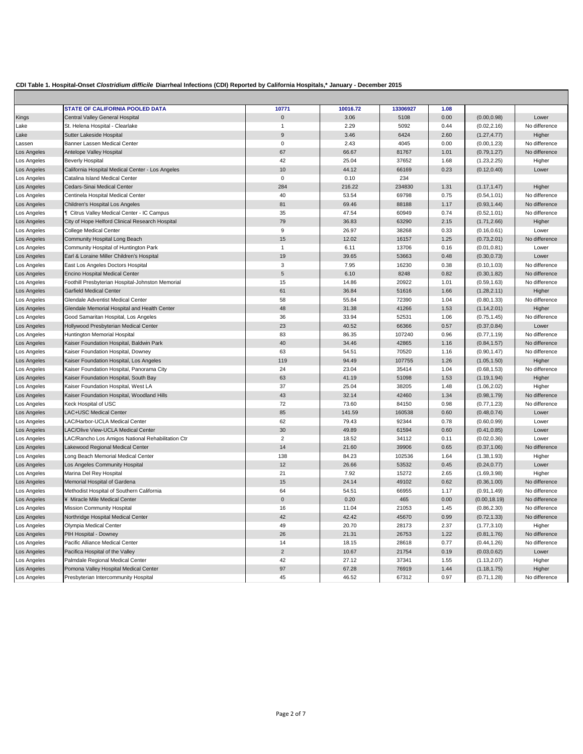|                            | STATE OF CALIFORNIA POOLED DATA                               | 10771<br>$\Omega$  | 10016.72       | 13306927      | 1.08         |               |                                |
|----------------------------|---------------------------------------------------------------|--------------------|----------------|---------------|--------------|---------------|--------------------------------|
| Kings                      | Central Valley General Hospital                               |                    | 3.06           | 5108          | 0.00         | (0.00, 0.98)  | Lower                          |
| Lake<br>Lake               | St. Helena Hospital - Clearlake<br>Sutter Lakeside Hospital   | 1<br>9             | 2.29<br>3.46   | 5092<br>6424  | 0.44<br>2.60 | (0.02, 2.16)  | No difference                  |
|                            |                                                               | $\mathbf 0$        |                | 4045          |              | (1.27, 4.77)  | Higher                         |
| Lassen                     | Banner Lassen Medical Center                                  | 67                 | 2.43<br>66.67  | 81767         | 0.00         | (0.00, 1.23)  | No difference<br>No difference |
| Los Angeles<br>Los Angeles | Antelope Valley Hospital                                      | 42                 | 25.04          | 37652         | 1.01<br>1.68 | (0.79, 1.27)  |                                |
|                            | <b>Beverly Hospital</b>                                       |                    |                |               |              | (1.23, 2.25)  | Higher                         |
| Los Angeles                | California Hospital Medical Center - Los Angeles              | 10                 | 44.12          | 66169         | 0.23         | (0.12, 0.40)  | Lower                          |
| Los Angeles                | Catalina Island Medical Center<br>Cedars-Sinai Medical Center | $\mathbf 0$<br>284 | 0.10<br>216.22 | 234<br>234830 | 1.31         |               |                                |
| Los Angeles                |                                                               |                    |                |               |              | (1.17, 1.47)  | Higher                         |
| Los Angeles                | Centinela Hospital Medical Center                             | 40                 | 53.54          | 69798         | 0.75         | (0.54, 1.01)  | No difference                  |
| Los Angeles                | Children's Hospital Los Angeles                               | 81                 | 69.46          | 88188         | 1.17         | (0.93, 1.44)  | No difference                  |
| Los Angeles                | <b>1</b> Citrus Valley Medical Center - IC Campus             | 35                 | 47.54          | 60949         | 0.74         | (0.52, 1.01)  | No difference                  |
| Los Angeles                | City of Hope Helford Clinical Research Hospital               | 79                 | 36.83          | 63290         | 2.15         | (1.71, 2.66)  | Higher                         |
| Los Angeles                | College Medical Center                                        | $\boldsymbol{9}$   | 26.97          | 38268         | 0.33         | (0.16, 0.61)  | Lower                          |
| Los Angeles                | Community Hospital Long Beach                                 | 15                 | 12.02          | 16157         | 1.25         | (0.73, 2.01)  | No difference                  |
| Los Angeles                | Community Hospital of Huntington Park                         | $\mathbf{1}$       | 6.11           | 13706         | 0.16         | (0.01, 0.81)  | Lower                          |
| Los Angeles                | Earl & Loraine Miller Children's Hospital                     | 19                 | 39.65          | 53663         | 0.48         | (0.30, 0.73)  | Lower                          |
| Los Angeles                | East Los Angeles Doctors Hospital                             | 3                  | 7.95           | 16230         | 0.38         | (0.10, 1.03)  | No difference                  |
| Los Angeles                | Encino Hospital Medical Center                                | 5                  | 6.10           | 8248          | 0.82         | (0.30, 1.82)  | No difference                  |
| Los Angeles                | Foothill Presbyterian Hospital-Johnston Memorial              | 15                 | 14.86          | 20922         | 1.01         | (0.59, 1.63)  | No difference                  |
| Los Angeles                | <b>Garfield Medical Center</b>                                | 61                 | 36.84          | 51616         | 1.66         | (1.28, 2.11)  | Higher                         |
| Los Angeles                | Glendale Adventist Medical Center                             | 58                 | 55.84          | 72390         | 1.04         | (0.80, 1.33)  | No difference                  |
| Los Angeles                | Glendale Memorial Hospital and Health Center                  | 48                 | 31.38          | 41266         | 1.53         | (1.14, 2.01)  | Higher                         |
| Los Angeles                | Good Samaritan Hospital, Los Angeles                          | 36                 | 33.94          | 52531         | 1.06         | (0.75, 1.45)  | No difference                  |
| Los Angeles                | Hollywood Presbyterian Medical Center                         | 23                 | 40.52          | 66366         | 0.57         | (0.37, 0.84)  | Lower                          |
| Los Angeles                | Huntington Memorial Hospital                                  | 83                 | 86.35          | 107240        | 0.96         | (0.77, 1.19)  | No difference                  |
| Los Angeles                | Kaiser Foundation Hospital, Baldwin Park                      | 40                 | 34.46          | 42865         | 1.16         | (0.84, 1.57)  | No difference                  |
| Los Angeles                | Kaiser Foundation Hospital, Downey                            | 63                 | 54.51          | 70520         | 1.16         | (0.90, 1.47)  | No difference                  |
| Los Angeles                | Kaiser Foundation Hospital, Los Angeles                       | 119                | 94.49          | 107755        | 1.26         | (1.05, 1.50)  | Higher                         |
| Los Angeles                | Kaiser Foundation Hospital, Panorama City                     | 24                 | 23.04          | 35414         | 1.04         | (0.68, 1.53)  | No difference                  |
| Los Angeles                | Kaiser Foundation Hospital, South Bay                         | 63                 | 41.19          | 51098         | 1.53         | (1.19, 1.94)  | Higher                         |
| Los Angeles                | Kaiser Foundation Hospital, West LA                           | 37                 | 25.04          | 38205         | 1.48         | (1.06, 2.02)  | Higher                         |
| Los Angeles                | Kaiser Foundation Hospital, Woodland Hills                    | 43                 | 32.14          | 42460         | 1.34         | (0.98, 1.79)  | No difference                  |
| Los Angeles                | Keck Hospital of USC                                          | 72                 | 73.60          | 84150         | 0.98         | (0.77, 1.23)  | No difference                  |
| Los Angeles                | LAC+USC Medical Center                                        | 85                 | 141.59         | 160538        | 0.60         | (0.48, 0.74)  | Lower                          |
| Los Angeles                | LAC/Harbor-UCLA Medical Center                                | 62                 | 79.43          | 92344         | 0.78         | (0.60, 0.99)  | Lower                          |
| Los Angeles                | LAC/Olive View-UCLA Medical Center                            | 30                 | 49.89          | 61594         | 0.60         | (0.41, 0.85)  | Lower                          |
| Los Angeles                | LAC/Rancho Los Amigos National Rehabilitation Ctr             | $\overline{2}$     | 18.52          | 34112         | 0.11         | (0.02, 0.36)  | Lower                          |
| Los Angeles                | Lakewood Regional Medical Center                              | 14                 | 21.60          | 39906         | 0.65         | (0.37, 1.06)  | No difference                  |
| Los Angeles                | Long Beach Memorial Medical Center                            | 138                | 84.23          | 102536        | 1.64         | (1.38, 1.93)  | Higher                         |
| Los Angeles                | Los Angeles Community Hospital                                | 12                 | 26.66          | 53532         | 0.45         | (0.24, 0.77)  | Lower                          |
| Los Angeles                | Marina Del Rey Hospital                                       | 21                 | 7.92           | 15272         | 2.65         | (1.69, 3.98)  | Higher                         |
| Los Angeles                | Memorial Hospital of Gardena                                  | 15                 | 24.14          | 49102         | 0.62         | (0.36, 1.00)  | No difference                  |
| Los Angeles                | Methodist Hospital of Southern California                     | 64                 | 54.51          | 66955         | 1.17         | (0.91, 1.49)  | No difference                  |
| Los Angeles                | ¥ Miracle Mile Medical Center                                 | $\mathbf 0$        | 0.20           | 465           | 0.00         | (0.00, 18.19) | No difference                  |
| Los Angeles                | <b>Mission Community Hospital</b>                             | 16                 | 11.04          | 21053         | 1.45         | (0.86, 2.30)  | No difference                  |
| Los Angeles                | Northridge Hospital Medical Center                            | 42                 | 42.42          | 45670         | 0.99         | (0.72, 1.33)  | No difference                  |
| Los Angeles                | Olympia Medical Center                                        | 49                 | 20.70          | 28173         | 2.37         | (1.77, 3.10)  | Higher                         |
| Los Angeles                | PIH Hospital - Downey                                         | 26                 | 21.31          | 26753         | 1.22         | (0.81, 1.76)  | No difference                  |
| Los Angeles                | Pacific Alliance Medical Center                               | 14                 | 18.15          | 28618         | 0.77         | (0.44, 1.26)  | No difference                  |
| Los Angeles                | Pacifica Hospital of the Valley                               | $\overline{2}$     | 10.67          | 21754         | 0.19         | (0.03, 0.62)  | Lower                          |
| Los Angeles                | Palmdale Regional Medical Center                              | 42                 | 27.12          | 37341         | 1.55         | (1.13, 2.07)  | Higher                         |
| Los Angeles                | Pomona Valley Hospital Medical Center                         | 97                 | 67.28          | 76919         | 1.44         | (1.18, 1.75)  | Higher                         |
| Los Angeles                | Presbyterian Intercommunity Hospital                          | 45                 | 46.52          | 67312         | 0.97         | (0.71, 1.28)  | No difference                  |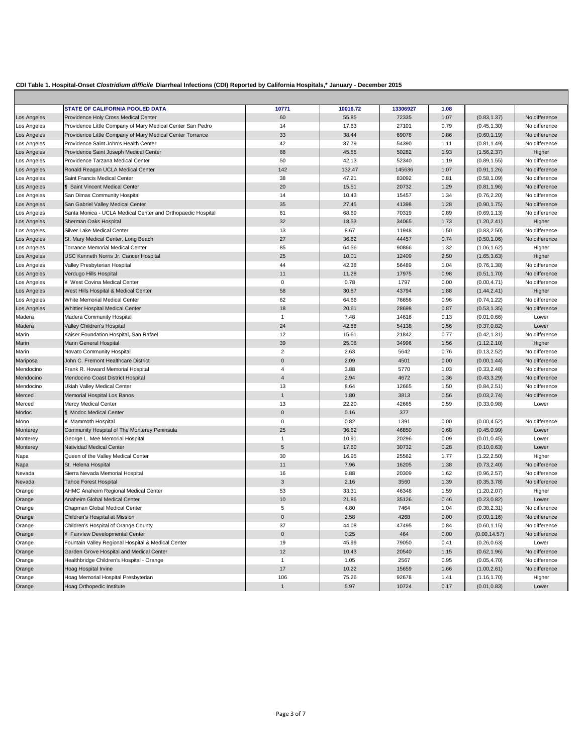$\mathbf{r}$ 

|             | <b>STATE OF CALIFORNIA POOLED DATA</b>                      | 10771          | 10016.72 | 13306927 | 1.08 |               |               |
|-------------|-------------------------------------------------------------|----------------|----------|----------|------|---------------|---------------|
| Los Angeles | Providence Holy Cross Medical Center                        | 60             | 55.85    | 72335    | 1.07 | (0.83, 1.37)  | No difference |
| Los Angeles | Providence Little Company of Mary Medical Center San Pedro  | 14             | 17.63    | 27101    | 0.79 | (0.45, 1.30)  | No difference |
| Los Angeles | Providence Little Company of Mary Medical Center Torrance   | 33             | 38.44    | 69078    | 0.86 | (0.60, 1.19)  | No difference |
| Los Angeles | Providence Saint John's Health Center                       | 42             | 37.79    | 54390    | 1.11 | (0.81, 1.49)  | No difference |
| Los Angeles | Providence Saint Joseph Medical Center                      | 88             | 45.55    | 50282    | 1.93 | (1.56, 2.37)  | Higher        |
| Los Angeles | Providence Tarzana Medical Center                           | 50             | 42.13    | 52340    | 1.19 | (0.89, 1.55)  | No difference |
| Los Angeles | Ronald Reagan UCLA Medical Center                           | 142            | 132.47   | 145636   | 1.07 | (0.91, 1.26)  | No difference |
| Los Angeles | Saint Francis Medical Center                                | 38             | 47.21    | 83092    | 0.81 | (0.58, 1.09)  | No difference |
| Los Angeles | <b>1</b> Saint Vincent Medical Center                       | 20             | 15.51    | 20732    | 1.29 | (0.81, 1.96)  | No difference |
| Los Angeles | San Dimas Community Hospital                                | 14             | 10.43    | 15457    | 1.34 | (0.76, 2.20)  | No difference |
| Los Angeles | San Gabriel Valley Medical Center                           | 35             | 27.45    | 41398    | 1.28 | (0.90, 1.75)  | No difference |
| Los Angeles | Santa Monica - UCLA Medical Center and Orthopaedic Hospital | 61             | 68.69    | 70319    | 0.89 | (0.69, 1.13)  | No difference |
| Los Angeles | Sherman Oaks Hospital                                       | 32             | 18.53    | 34065    | 1.73 | (1.20, 2.41)  | Higher        |
| Los Angeles | Silver Lake Medical Center                                  | 13             | 8.67     | 11948    | 1.50 | (0.83, 2.50)  | No difference |
| Los Angeles | St. Mary Medical Center, Long Beach                         | 27             | 36.62    | 44457    | 0.74 | (0.50, 1.06)  | No difference |
| Los Angeles | <b>Torrance Memorial Medical Center</b>                     | 85             | 64.56    | 90866    | 1.32 | (1.06, 1.62)  | Higher        |
| Los Angeles | USC Kenneth Norris Jr. Cancer Hospital                      | 25             | 10.01    | 12409    | 2.50 | (1.65, 3.63)  | Higher        |
| Los Angeles | Valley Presbyterian Hospital                                | 44             | 42.38    | 56489    | 1.04 | (0.76, 1.38)  | No difference |
| Los Angeles | Verdugo Hills Hospital                                      | 11             | 11.28    | 17975    | 0.98 | (0.51, 1.70)  | No difference |
| Los Angeles | ¥ West Covina Medical Center                                | $\mathsf 0$    | 0.78     | 1797     | 0.00 | (0.00, 4.71)  | No difference |
| Los Angeles | West Hills Hospital & Medical Center                        | 58             | 30.87    | 43794    | 1.88 | (1.44, 2.41)  | Higher        |
| Los Angeles | White Memorial Medical Center                               | 62             | 64.66    | 76656    | 0.96 | (0.74, 1.22)  | No difference |
| Los Angeles | Whittier Hospital Medical Center                            | 18             | 20.61    | 28698    | 0.87 | (0.53, 1.35)  | No difference |
| Madera      | Madera Community Hospital                                   | $\overline{1}$ | 7.48     | 14616    | 0.13 | (0.01, 0.66)  | Lower         |
| Madera      | Valley Children's Hospital                                  | 24             | 42.88    | 54138    | 0.56 | (0.37, 0.82)  | Lower         |
| Marin       | Kaiser Foundation Hospital, San Rafael                      | 12             | 15.61    | 21842    | 0.77 | (0.42, 1.31)  | No difference |
| Marin       | Marin General Hospital                                      | 39             | 25.08    | 34996    | 1.56 | (1.12, 2.10)  | Higher        |
| Marin       | Novato Community Hospital                                   | $\overline{2}$ | 2.63     | 5642     | 0.76 | (0.13, 2.52)  | No difference |
| Mariposa    | John C. Fremont Healthcare District                         | $\mathbf 0$    | 2.09     | 4501     | 0.00 | (0.00, 1.44)  | No difference |
| Mendocino   | Frank R. Howard Memorial Hospital                           | $\overline{4}$ | 3.88     | 5770     | 1.03 | (0.33, 2.48)  | No difference |
| Mendocino   | Mendocino Coast District Hospital                           | $\overline{4}$ | 2.94     | 4672     | 1.36 | (0.43, 3.29)  | No difference |
| Mendocino   | Ukiah Valley Medical Center                                 | 13             | 8.64     | 12665    | 1.50 | (0.84, 2.51)  | No difference |
| Merced      | Memorial Hospital Los Banos                                 | $\mathbf{1}$   | 1.80     | 3813     | 0.56 | (0.03, 2.74)  | No difference |
| Merced      | Mercy Medical Center                                        | 13             | 22.20    | 42665    | 0.59 | (0.33, 0.98)  | Lower         |
| Modoc       | <b>1</b> Modoc Medical Center                               | $\mathbf{0}$   | 0.16     | 377      |      |               |               |
| Mono        | ¥ Mammoth Hospital                                          | $\mathbf 0$    | 0.82     | 1391     | 0.00 | (0.00, 4.52)  | No difference |
| Monterey    | Community Hospital of The Monterey Peninsula                | 25             | 36.62    | 46850    | 0.68 | (0.45, 0.99)  | Lower         |
| Monterey    | George L. Mee Memorial Hospital                             | 1              | 10.91    | 20296    | 0.09 | (0.01, 0.45)  | Lower         |
| Monterey    | Natividad Medical Center                                    | $\sqrt{5}$     | 17.60    | 30732    | 0.28 | (0.10, 0.63)  | Lower         |
| Napa        | Queen of the Valley Medical Center                          | 30             | 16.95    | 25562    | 1.77 | (1.22, 2.50)  | Higher        |
| Napa        | St. Helena Hospital                                         | 11             | 7.96     | 16205    | 1.38 | (0.73, 2.40)  | No difference |
| Nevada      | Sierra Nevada Memorial Hospital                             | 16             | 9.88     | 20309    | 1.62 | (0.96, 2.57)  | No difference |
| Nevada      | <b>Tahoe Forest Hospital</b>                                | $\mathbf{3}$   | 2.16     | 3560     | 1.39 | (0.35, 3.78)  | No difference |
| Orange      | AHMC Anaheim Regional Medical Center                        | 53             | 33.31    | 46348    | 1.59 | (1.20, 2.07)  | Higher        |
| Orange      | Anaheim Global Medical Center                               | 10             | 21.86    | 35126    | 0.46 | (0.23, 0.82)  | Lower         |
| Orange      | Chapman Global Medical Center                               | $\,$ 5 $\,$    | 4.80     | 7464     | 1.04 | (0.38, 2.31)  | No difference |
| Orange      | Children's Hospital at Mission                              | $\mathbf 0$    | 2.58     | 4268     | 0.00 | (0.00, 1.16)  | No difference |
| Orange      | Children's Hospital of Orange County                        | 37             | 44.08    | 47495    | 0.84 | (0.60, 1.15)  | No difference |
| Orange      | ¥ Fairview Developmental Center                             | $\mathbf 0$    | 0.25     | 464      | 0.00 | (0.00, 14.57) | No difference |
| Orange      | Fountain Valley Regional Hospital & Medical Center          | 19             | 45.99    | 79050    | 0.41 | (0.26, 0.63)  | Lower         |
| Orange      | Garden Grove Hospital and Medical Center                    | 12             | 10.43    | 20540    | 1.15 | (0.62, 1.96)  | No difference |
| Orange      | Healthbridge Children's Hospital - Orange                   | $\overline{1}$ | 1.05     | 2567     | 0.95 | (0.05, 4.70)  | No difference |
| Orange      | Hoag Hospital Irvine                                        | 17             | 10.22    | 15659    | 1.66 | (1.00, 2.61)  | No difference |
| Orange      | Hoag Memorial Hospital Presbyterian                         | 106            | 75.26    | 92678    | 1.41 | (1.16, 1.70)  | Higher        |
| Orange      | Hoag Orthopedic Institute                                   | $\overline{1}$ | 5.97     | 10724    | 0.17 | (0.01, 0.83)  | Lower         |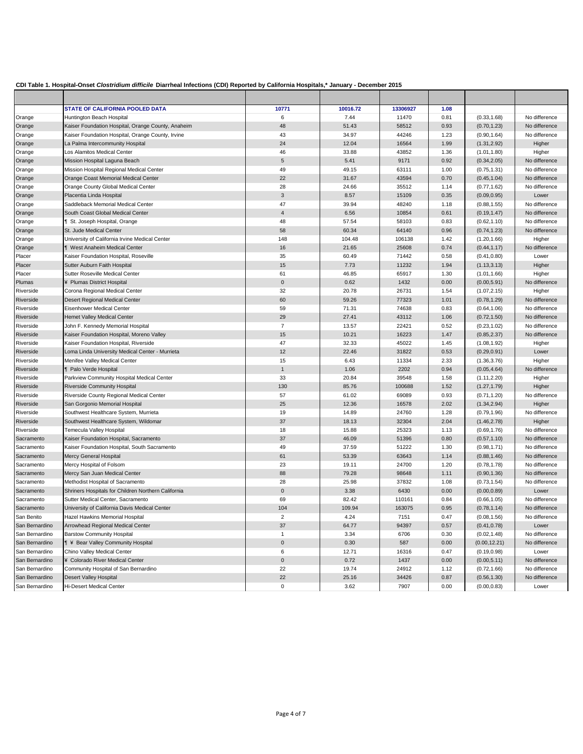|                | STATE OF CALIFORNIA POOLED DATA                     | 10771                   | 10016.72 | 13306927 | 1.08 |               |               |
|----------------|-----------------------------------------------------|-------------------------|----------|----------|------|---------------|---------------|
| Orange         | Huntington Beach Hospital                           | 6                       | 7.44     | 11470    | 0.81 | (0.33, 1.68)  | No difference |
| Orange         | Kaiser Foundation Hospital, Orange County, Anaheim  | 48                      | 51.43    | 58512    | 0.93 | (0.70, 1.23)  | No difference |
| Orange         | Kaiser Foundation Hospital, Orange County, Irvine   | 43                      | 34.97    | 44246    | 1.23 | (0.90, 1.64)  | No difference |
| Orange         | La Palma Intercommunity Hospital                    | 24                      | 12.04    | 16564    | 1.99 | (1.31, 2.92)  | Higher        |
| Orange         | Los Alamitos Medical Center                         | 46                      | 33.88    | 43852    | 1.36 | (1.01, 1.80)  | Higher        |
| Orange         | Mission Hospital Laguna Beach                       | 5                       | 5.41     | 9171     | 0.92 | (0.34, 2.05)  | No difference |
| Orange         | Mission Hospital Regional Medical Center            | 49                      | 49.15    | 63111    | 1.00 | (0.75, 1.31)  | No difference |
| Orange         | Orange Coast Memorial Medical Center                | 22                      | 31.67    | 43594    | 0.70 | (0.45, 1.04)  | No difference |
| Orange         | Orange County Global Medical Center                 | 28                      | 24.66    | 35512    | 1.14 | (0.77, 1.62)  | No difference |
| Orange         | Placentia Linda Hospital                            | $\mathbf{3}$            | 8.57     | 15109    | 0.35 | (0.09, 0.95)  | Lower         |
| Orange         | Saddleback Memorial Medical Center                  | 47                      | 39.94    | 48240    | 1.18 | (0.88, 1.55)  | No difference |
| Orange         | South Coast Global Medical Center                   | $\overline{4}$          | 6.56     | 10854    | 0.61 | (0.19, 1.47)  | No difference |
| Orange         | St. Joseph Hospital, Orange                         | 48                      | 57.54    | 58103    | 0.83 | (0.62, 1.10)  | No difference |
| Orange         | St. Jude Medical Center                             | 58                      | 60.34    | 64140    | 0.96 | (0.74, 1.23)  | No difference |
| Orange         | University of California Irvine Medical Center      | 148                     | 104.48   | 106138   | 1.42 | (1.20, 1.66)  | Higher        |
| Orange         | <b>1</b> West Anaheim Medical Center                | 16                      | 21.65    | 25608    | 0.74 | (0.44, 1.17)  | No difference |
| Placer         | Kaiser Foundation Hospital, Roseville               | 35                      | 60.49    | 71442    | 0.58 | (0.41, 0.80)  | Lower         |
| Placer         | Sutter Auburn Faith Hospital                        | 15                      | 7.73     | 11232    | 1.94 | (1.13, 3.13)  | Higher        |
| Placer         | Sutter Roseville Medical Center                     | 61                      | 46.85    | 65917    | 1.30 | (1.01, 1.66)  | Higher        |
| Plumas         | ¥ Plumas District Hospital                          | $\mathbf 0$             | 0.62     | 1432     | 0.00 | (0.00, 5.91)  | No difference |
| Riverside      | Corona Regional Medical Center                      | 32                      | 20.78    | 26731    | 1.54 | (1.07, 2.15)  | Higher        |
| Riverside      | Desert Regional Medical Center                      | 60                      | 59.26    | 77323    | 1.01 | (0.78, 1.29)  | No difference |
| Riverside      | Eisenhower Medical Center                           | 59                      | 71.31    | 74638    | 0.83 | (0.64, 1.06)  | No difference |
| Riverside      | <b>Hemet Valley Medical Center</b>                  | 29                      | 27.41    | 43112    | 1.06 | (0.72, 1.50)  | No difference |
| Riverside      | John F. Kennedy Memorial Hospital                   | $\overline{7}$          | 13.57    | 22421    | 0.52 | (0.23, 1.02)  | No difference |
| Riverside      | Kaiser Foundation Hospital, Moreno Valley           | 15                      | 10.21    | 16223    | 1.47 | (0.85, 2.37)  | No difference |
| Riverside      | Kaiser Foundation Hospital, Riverside               | 47                      | 32.33    | 45022    | 1.45 | (1.08, 1.92)  | Higher        |
| Riverside      | Loma Linda University Medical Center - Murrieta     | 12                      | 22.46    | 31822    | 0.53 | (0.29, 0.91)  | Lower         |
| Riverside      | Menifee Valley Medical Center                       | 15                      | 6.43     | 11334    | 2.33 | (1.36, 3.76)  | Higher        |
| Riverside      | Palo Verde Hospital                                 | $\mathbf{1}$            | 1.06     | 2202     | 0.94 | (0.05, 4.64)  | No difference |
| Riverside      | Parkview Community Hospital Medical Center          | 33                      | 20.84    | 39548    | 1.58 | (1.11, 2.20)  | Higher        |
| Riverside      | <b>Riverside Community Hospital</b>                 | 130                     | 85.76    | 100688   | 1.52 | (1.27, 1.79)  | Higher        |
| Riverside      | Riverside County Regional Medical Center            | 57                      | 61.02    | 69089    | 0.93 | (0.71, 1.20)  | No difference |
| Riverside      | San Gorgonio Memorial Hospital                      | 25                      | 12.36    | 16578    | 2.02 | (1.34, 2.94)  | Higher        |
| Riverside      | Southwest Healthcare System, Murrieta               | 19                      | 14.89    | 24760    | 1.28 | (0.79, 1.96)  | No difference |
| Riverside      | Southwest Healthcare System, Wildomar               | 37                      | 18.13    | 32304    | 2.04 | (1.46, 2.78)  | Higher        |
| Riverside      | Temecula Valley Hospital                            | 18                      | 15.88    | 25323    | 1.13 | (0.69, 1.76)  | No difference |
| Sacramento     | Kaiser Foundation Hospital, Sacramento              | 37                      | 46.09    | 51396    | 0.80 | (0.57, 1.10)  | No difference |
| Sacramento     | Kaiser Foundation Hospital, South Sacramento        | 49                      | 37.59    | 51222    | 1.30 | (0.98, 1.71)  | No difference |
| Sacramento     | Mercy General Hospital                              | 61                      | 53.39    | 63643    | 1.14 | (0.88, 1.46)  | No difference |
| Sacramento     | Mercy Hospital of Folsom                            | 23                      | 19.11    | 24700    | 1.20 | (0.78, 1.78)  | No difference |
| Sacramento     | Mercy San Juan Medical Center                       | 88                      | 79.28    | 98648    | 1.11 | (0.90, 1.36)  | No difference |
| Sacramento     | Methodist Hospital of Sacramento                    | 28                      | 25.98    | 37832    | 1.08 | (0.73, 1.54)  | No difference |
| Sacramento     | Shriners Hospitals for Children Northern California | $\mathbf 0$             | 3.38     | 6430     | 0.00 | (0.00, 0.89)  | Lower         |
| Sacramento     | Sutter Medical Center, Sacramento                   | 69                      | 82.42    | 110161   | 0.84 | (0.66, 1.05)  | No difference |
| Sacramento     | University of California Davis Medical Center       | 104                     | 109.94   | 163075   | 0.95 | (0.78, 1.14)  | No difference |
| San Benito     | Hazel Hawkins Memorial Hospital                     | $\overline{\mathbf{c}}$ | 4.24     | 7151     | 0.47 | (0.08, 1.56)  | No difference |
| San Bernardino | Arrowhead Regional Medical Center                   | 37                      | 64.77    | 94397    | 0.57 | (0.41, 0.78)  | Lower         |
| San Bernardino | <b>Barstow Community Hospital</b>                   | $\mathbf{1}$            | 3.34     | 6706     | 0.30 | (0.02, 1.48)  | No difference |
| San Bernardino | <b>1 ¥ Bear Valley Community Hospital</b>           | $\pmb{0}$               | 0.30     | 587      | 0.00 | (0.00, 12.21) | No difference |
| San Bernardino | Chino Valley Medical Center                         | 6                       | 12.71    | 16316    | 0.47 | (0.19, 0.98)  | Lower         |
| San Bernardino | ¥ Colorado River Medical Center                     | $\pmb{0}$               | 0.72     | 1437     | 0.00 | (0.00, 5.11)  | No difference |
| San Bernardino | Community Hospital of San Bernardino                | 22                      | 19.74    | 24912    | 1.12 | (0.72, 1.66)  | No difference |
| San Bernardino | Desert Valley Hospital                              | 22                      | 25.16    | 34426    | 0.87 | (0.56, 1.30)  | No difference |
| San Bernardino | Hi-Desert Medical Center                            | $\mathbf 0$             | 3.62     | 7907     | 0.00 | (0.00, 0.83)  | Lower         |
|                |                                                     |                         |          |          |      |               |               |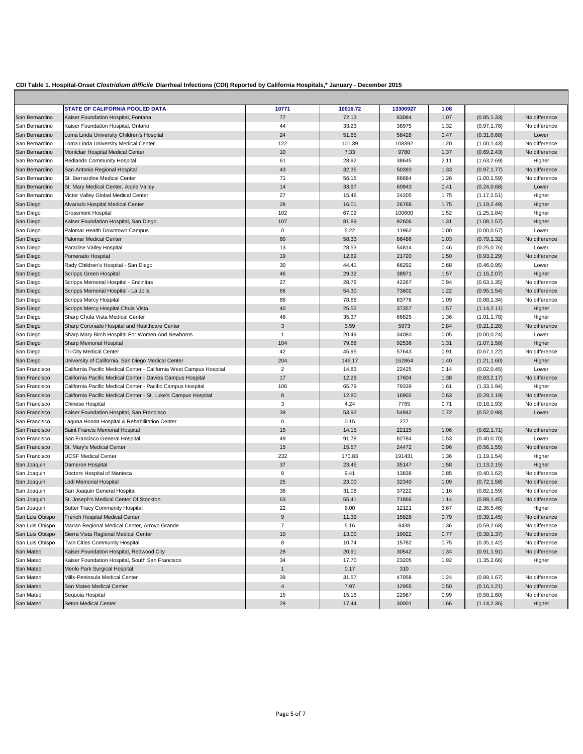$\mathbf{r}$ 

|                 | <b>STATE OF CALIFORNIA POOLED DATA</b>                              | 10771          | 10016.72 | 13306927 | 1.08 |              |               |
|-----------------|---------------------------------------------------------------------|----------------|----------|----------|------|--------------|---------------|
| San Bernardino  | Kaiser Foundation Hospital, Fontana                                 | 77             | 72.13    | 83084    | 1.07 | (0.85, 1.33) | No difference |
| San Bernardino  | Kaiser Foundation Hospital, Ontario                                 | 44             | 33.23    | 38975    | 1.32 | (0.97, 1.76) | No difference |
| San Bernardino  | Loma Linda University Children's Hospital                           | 24             | 51.65    | 58428    | 0.47 | (0.31, 0.68) | Lower         |
| San Bernardino  | Loma Linda University Medical Center                                | 122            | 101.39   | 108392   | 1.20 | (1.00, 1.43) | No difference |
| San Bernardino  | Montclair Hospital Medical Center                                   | 10             | 7.33     | 9780     | 1.37 | (0.69, 2.43) | No difference |
| San Bernardino  | Redlands Community Hospital                                         | 61             | 28.92    | 38645    | 2.11 | (1.63, 2.69) | Higher        |
| San Bernardino  | San Antonio Regional Hospital                                       | 43             | 32.35    | 50393    | 1.33 | (0.97, 1.77) | No difference |
| San Bernardino  | St. Bernardine Medical Center                                       | 71             | 56.15    | 66684    | 1.26 | (1.00, 1.59) | No difference |
| San Bernardino  | St. Mary Medical Center, Apple Valley                               | 14             | 33.97    | 60943    | 0.41 | (0.24, 0.68) | Lower         |
| San Bernardino  | Victor Valley Global Medical Center                                 | 27             | 15.46    | 24205    | 1.75 | (1.17, 2.51) | Higher        |
| San Diego       | Alvarado Hospital Medical Center                                    | 28             | 16.01    | 26768    | 1.75 | (1.19, 2.49) | Higher        |
| San Diego       | <b>Grossmont Hospital</b>                                           | 102            | 67.02    | 100600   | 1.52 | (1.25, 1.84) | Higher        |
| San Diego       | Kaiser Foundation Hospital, San Diego                               | 107            | 81.89    | 92606    | 1.31 | (1.08, 1.57) | Higher        |
| San Diego       | Palomar Health Downtown Campus                                      | $\mathbf 0$    | 5.22     | 11962    | 0.00 | (0.00, 0.57) | Lower         |
| San Diego       | Palomar Medical Center                                              | 60             | 58.33    | 86486    | 1.03 | (0.79, 1.32) | No difference |
| San Diego       | Paradise Valley Hospital                                            | 13             | 28.53    | 54814    | 0.46 | (0.25, 0.76) | Lower         |
| San Diego       | Pomerado Hospital                                                   | 19             | 12.69    | 21720    | 1.50 | (0.93, 2.29) | No difference |
| San Diego       | Rady Children's Hospital - San Diego                                | 30             | 44.41    | 66292    | 0.68 | (0.46, 0.95) | Lower         |
| San Diego       | <b>Scripps Green Hospital</b>                                       | 46             | 29.32    | 38971    | 1.57 | (1.16, 2.07) | Higher        |
| San Diego       | Scripps Memorial Hospital - Encinitas                               | 27             | 28.76    | 42267    | 0.94 | (0.63, 1.35) | No difference |
| San Diego       | Scripps Memorial Hospital - La Jolla                                | 66             | 54.30    | 73602    | 1.22 | (0.95, 1.54) | No difference |
| San Diego       | Scripps Mercy Hospital                                              | 86             | 78.66    | 83776    | 1.09 | (0.88, 1.34) | No difference |
| San Diego       | Scripps Mercy Hospital Chula Vista                                  | 40             | 25.52    | 37357    | 1.57 | (1.14, 2.11) | Higher        |
| San Diego       | Sharp Chula Vista Medical Center                                    | 48             | 35.37    | 66825    | 1.36 | (1.01, 1.78) | Higher        |
| San Diego       | Sharp Coronado Hospital and Healthcare Center                       | 3              | 3.59     | 5873     | 0.84 | (0.21, 2.28) | No difference |
| San Diego       | Sharp Mary Birch Hospital For Women And Newborns                    | $\overline{1}$ | 20.49    | 34083    | 0.05 | (0.00, 0.24) | Lower         |
| San Diego       | Sharp Memorial Hospital                                             | 104            | 79.68    | 92536    | 1.31 | (1.07, 1.58) | Higher        |
| San Diego       | <b>Tri-City Medical Center</b>                                      | 42             | 45.95    | 57643    | 0.91 | (0.67, 1.22) | No difference |
| San Diego       | University of California, San Diego Medical Center                  | 204            | 146.17   | 162864   | 1.40 | (1.21, 1.60) | Higher        |
| San Francisco   | California Pacific Medical Center - California West Campus Hospital | $\overline{2}$ | 14.83    | 22425    | 0.14 | (0.02, 0.45) | Lower         |
| San Francisco   | California Pacific Medical Center - Davies Campus Hospital          | 17             | 12.29    | 17604    | 1.38 | (0.83, 2.17) | No difference |
| San Francisco   | California Pacific Medical Center - Pacific Campus Hospital         | 106            | 65.79    | 79339    | 1.61 | (1.33, 1.94) | Higher        |
| San Francisco   | California Pacific Medical Center - St. Luke's Campus Hospital      | 8              | 12.80    | 16902    | 0.63 | (0.29, 1.19) | No difference |
| San Francisco   | <b>Chinese Hospital</b>                                             | 3              | 4.24     | 7765     | 0.71 | (0.18, 1.93) | No difference |
| San Francisco   | Kaiser Foundation Hospital, San Francisco                           | 39             | 53.92    | 54942    | 0.72 | (0.52, 0.98) | Lower         |
| San Francisco   | Laguna Honda Hospital & Rehabilitation Center                       | 0              | 0.15     | 277      |      |              |               |
| San Francisco   | Saint Francis Memorial Hospital                                     | 15             | 14.15    | 22115    | 1.06 | (0.62, 1.71) | No difference |
| San Francisco   | San Francisco General Hospital                                      | 49             | 91.78    | 82784    | 0.53 | (0.40, 0.70) | Lower         |
| San Francisco   | St. Mary's Medical Center                                           | 15             | 15.57    | 24472    | 0.96 | (0.56, 1.55) | No difference |
| San Francisco   | <b>UCSF Medical Center</b>                                          | 232            | 170.83   | 191431   | 1.36 | (1.19, 1.54) | Higher        |
| San Joaquin     | Dameron Hospital                                                    | 37             | 23.45    | 35147    | 1.58 | (1.13, 2.15) | Higher        |
| San Joaquin     | Doctors Hospital of Manteca                                         | 8              | 9.41     | 13838    | 0.85 | (0.40, 1.62) | No difference |
| San Joaquin     | Lodi Memorial Hospital                                              | 25             | 23.00    | 32340    | 1.09 | (0.72, 1.58) | No difference |
| San Joaquin     | San Joaquin General Hospital                                        | 36             | 31.08    | 37222    | 1.16 | (0.82, 1.59) | No difference |
| San Joaquin     | St. Joseph's Medical Center Of Stockton                             | 63             | 55.41    | 71866    | 1.14 | (0.88, 1.45) | No difference |
| San Joaquin     | Sutter Tracy Community Hospital                                     | 22             | 6.00     | 12121    | 3.67 | (2.36, 5.46) | Higher        |
| San Luis Obispo | French Hospital Medical Center                                      | 9              | 11.39    | 15828    | 0.79 | (0.39, 1.45) | No difference |
| San Luis Obispo | Marian Regional Medical Center, Arroyo Grande                       | $\overline{7}$ | 5.16     | 8438     | 1.36 | (0.59, 2.68) | No difference |
| San Luis Obispo | Sierra Vista Regional Medical Center                                | 10             | 13.00    | 19022    | 0.77 | (0.39, 1.37) | No difference |
| San Luis Obispo | Twin Cities Community Hospital                                      | 8              | 10.74    | 15782    | 0.75 | (0.35, 1.42) | No difference |
| San Mateo       | Kaiser Foundation Hospital, Redwood City                            | 28             | 20.91    | 30542    | 1.34 | (0.91, 1.91) | No difference |
| San Mateo       | Kaiser Foundation Hospital, South San Francisco                     | 34             | 17.70    | 23205    | 1.92 | (1.35, 2.66) | Higher        |
| San Mateo       | Menlo Park Surgical Hospital                                        | $\mathbf{1}$   | 0.17     | 310      |      |              |               |
| San Mateo       | Mills-Peninsula Medical Center                                      | 39             | 31.57    | 47058    | 1.24 | (0.89, 1.67) | No difference |
| San Mateo       | San Mateo Medical Center                                            | $\sqrt{4}$     | 7.97     | 12955    | 0.50 | (0.16, 1.21) | No difference |
| San Mateo       | Sequoia Hospital                                                    | 15             | 15.16    | 22987    | 0.99 | (0.58, 1.60) | No difference |
| San Mateo       | Seton Medical Center                                                | 29             | 17.44    | 30001    | 1.66 | (1.14, 2.36) | Higher        |
|                 |                                                                     |                |          |          |      |              |               |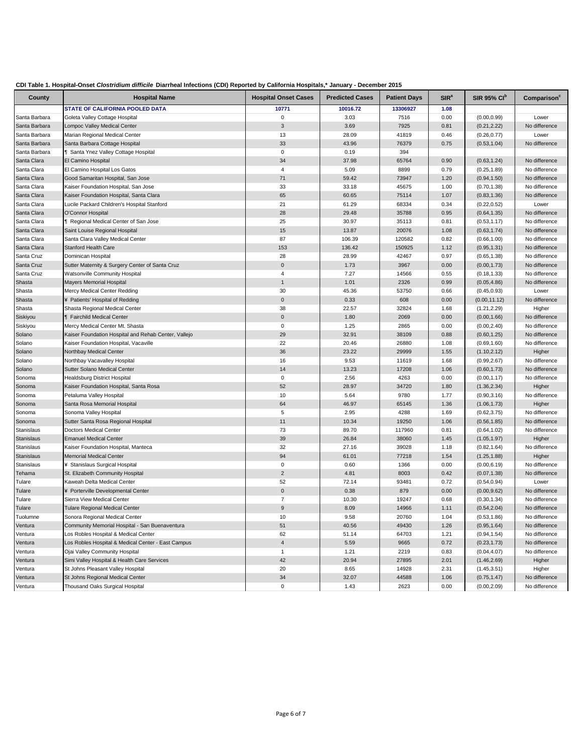| CDI Table 1. Hospital-Onset Clostridium difficile Diarrheal Infections (CDI) Reported by California Hospitals,* January - December 2015 |  |  |  |
|-----------------------------------------------------------------------------------------------------------------------------------------|--|--|--|
|-----------------------------------------------------------------------------------------------------------------------------------------|--|--|--|

|                   | $P1$ and moderate (ODI) Reported by Gamerina Hoopitals, Gamaary           |                             |                        |                     |                  |                     |                                |
|-------------------|---------------------------------------------------------------------------|-----------------------------|------------------------|---------------------|------------------|---------------------|--------------------------------|
| County            | <b>Hospital Name</b>                                                      | <b>Hospital Onset Cases</b> | <b>Predicted Cases</b> | <b>Patient Days</b> | SIR <sup>a</sup> | <b>SIR 95% CI</b> b | Comparison                     |
|                   | <b>STATE OF CALIFORNIA POOLED DATA</b>                                    | 10771                       | 10016.72               | 13306927            | 1.08             |                     |                                |
| Santa Barbara     | Goleta Valley Cottage Hospital                                            | 0                           | 3.03                   | 7516                | 0.00             | (0.00, 0.99)        | Lower                          |
| Santa Barbara     | Lompoc Valley Medical Center                                              | 3                           | 3.69                   | 7925                | 0.81             | (0.21, 2.22)        | No difference                  |
| Santa Barbara     | Marian Regional Medical Center                                            | 13                          | 28.09                  | 41819               | 0.46             | (0.26, 0.77)        | Lower                          |
| Santa Barbara     | Santa Barbara Cottage Hospital                                            | 33                          | 43.96                  | 76379               | 0.75             | (0.53, 1.04)        | No difference                  |
| Santa Barbara     | Santa Ynez Valley Cottage Hospital                                        | 0                           | 0.19                   | 394                 |                  |                     |                                |
| Santa Clara       | El Camino Hospital                                                        | 34                          | 37.98                  | 65764               | 0.90             | (0.63, 1.24)        | No difference                  |
| Santa Clara       | El Camino Hospital Los Gatos                                              | 4                           | 5.09                   | 8899                | 0.79             | (0.25, 1.89)        | No difference<br>No difference |
| Santa Clara       | Good Samaritan Hospital, San Jose<br>Kaiser Foundation Hospital, San Jose | 71                          | 59.42                  | 73947               | 1.20             | (0.94, 1.50)        |                                |
| Santa Clara       |                                                                           | 33                          | 33.18                  | 45675               | 1.00             | (0.70, 1.38)        | No difference                  |
| Santa Clara       | Kaiser Foundation Hospital, Santa Clara                                   | 65                          | 60.65                  | 75114               | 1.07             | (0.83, 1.36)        | No difference                  |
| Santa Clara       | Lucile Packard Children's Hospital Stanford                               | 21<br>28                    | 61.29                  | 68334               | 0.34             | (0.22, 0.52)        | Lower<br>No difference         |
| Santa Clara       | O'Connor Hospital                                                         |                             | 29.48                  | 35788               | 0.95             | (0.64, 1.35)        |                                |
| Santa Clara       | <b>T</b> Regional Medical Center of San Jose                              | 25                          | 30.97                  | 35113               | 0.81             | (0.53, 1.17)        | No difference                  |
| Santa Clara       | Saint Louise Regional Hospital                                            | 15                          | 13.87                  | 20076               | 1.08             | (0.63, 1.74)        | No difference                  |
| Santa Clara       | Santa Clara Valley Medical Center                                         | 87                          | 106.39                 | 120582              | 0.82             | (0.66, 1.00)        | No difference                  |
| Santa Clara       | <b>Stanford Health Care</b>                                               | 153                         | 136.42                 | 150925              | 1.12             | (0.95, 1.31)        | No difference                  |
| Santa Cruz        | Dominican Hospital                                                        | 28                          | 28.99                  | 42467               | 0.97             | (0.65, 1.38)        | No difference                  |
| Santa Cruz        | Sutter Maternity & Surgery Center of Santa Cruz                           | $\pmb{0}$                   | 1.73                   | 3967                | 0.00             | (0.00, 1.73)        | No difference                  |
| Santa Cruz        | Watsonville Community Hospital                                            | 4                           | 7.27                   | 14566               | 0.55             | (0.18, 1.33)        | No difference                  |
| Shasta            | <b>Mayers Memorial Hospital</b>                                           | $\mathbf{1}$                | 1.01                   | 2326                | 0.99             | (0.05, 4.86)        | No difference                  |
| Shasta            | Mercy Medical Center Redding                                              | 30                          | 45.36                  | 53750               | 0.66             | (0.45, 0.93)        | Lower                          |
| Shasta            | ¥ Patients' Hospital of Redding                                           | $\pmb{0}$                   | 0.33                   | 608                 | 0.00             | (0.00, 11.12)       | No difference                  |
| Shasta            | Shasta Regional Medical Center                                            | 38                          | 22.57                  | 32824               | 1.68             | (1.21, 2.29)        | Higher                         |
| Siskiyou          | <b>T</b> Fairchild Medical Center                                         | $\pmb{0}$                   | 1.80                   | 2069                | 0.00             | (0.00, 1.66)        | No difference                  |
| Siskiyou          | Mercy Medical Center Mt. Shasta                                           | $\mathbf 0$                 | 1.25                   | 2865                | 0.00             | (0.00, 2.40)        | No difference                  |
| Solano            | Kaiser Foundation Hospital and Rehab Center, Vallejo                      | 29                          | 32.91                  | 38109               | 0.88             | (0.60, 1.25)        | No difference                  |
| Solano            | Kaiser Foundation Hospital, Vacaville                                     | 22                          | 20.46                  | 26880               | 1.08             | (0.69, 1.60)        | No difference                  |
| Solano            | Northbay Medical Center                                                   | 36                          | 23.22                  | 29999               | 1.55             | (1.10, 2.12)        | Higher                         |
| Solano            | Northbay Vacavalley Hospital                                              | 16                          | 9.53                   | 11619               | 1.68             | (0.99, 2.67)        | No difference                  |
| Solano            | Sutter Solano Medical Center                                              | 14                          | 13.23                  | 17208               | 1.06             | (0.60, 1.73)        | No difference                  |
| Sonoma            | Healdsburg District Hospital                                              | 0                           | 2.56                   | 4263                | 0.00             | (0.00, 1.17)        | No difference                  |
| Sonoma            | Kaiser Foundation Hospital, Santa Rosa                                    | 52                          | 28.97                  | 34720               | 1.80             | (1.36, 2.34)        | Higher                         |
| Sonoma            | Petaluma Valley Hospital                                                  | 10                          | 5.64                   | 9780                | 1.77             | (0.90, 3.16)        | No difference                  |
| Sonoma            | Santa Rosa Memorial Hospital                                              | 64                          | 46.97                  | 65145               | 1.36             | (1.06, 1.73)        | Higher                         |
| Sonoma            | Sonoma Valley Hospital                                                    | 5                           | 2.95                   | 4288                | 1.69             | (0.62, 3.75)        | No difference                  |
| Sonoma            | Sutter Santa Rosa Regional Hospital                                       | 11                          | 10.34                  | 19250               | 1.06             | (0.56, 1.85)        | No difference                  |
| Stanislaus        | Doctors Medical Center                                                    | 73                          | 89.70                  | 117960              | 0.81             | (0.64, 1.02)        | No difference                  |
| <b>Stanislaus</b> | <b>Emanuel Medical Center</b>                                             | 39                          | 26.84                  | 38060               | 1.45             | (1.05, 1.97)        | Higher                         |
| Stanislaus        | Kaiser Foundation Hospital, Manteca                                       | 32                          | 27.16                  | 39028               | 1.18             | (0.82, 1.64)        | No difference                  |
| <b>Stanislaus</b> | <b>Memorial Medical Center</b>                                            | 94                          | 61.01                  | 77218               | 1.54             | (1.25, 1.88)        | Higher                         |
| Stanislaus        | ¥ Stanislaus Surgical Hospital                                            | 0                           | 0.60                   | 1366                | 0.00             | (0.00, 6.19)        | No difference                  |
| Tehama            | St. Elizabeth Community Hospital                                          | $\overline{2}$              | 4.81                   | 8003                | 0.42             | (0.07, 1.38)        | No difference                  |
| Tulare            | Kaweah Delta Medical Center                                               | 52                          | 72.14                  | 93481               | 0.72             | (0.54, 0.94)        | Lower                          |
| Tulare            | ¥ Porterville Developmental Center                                        | $\pmb{0}$                   | 0.38                   | 879                 | 0.00             | (0.00, 9.62)        | No difference                  |
| Tulare            | Sierra View Medical Center                                                | $\overline{7}$              | 10.30                  | 19247               | 0.68             | (0.30, 1.34)        | No difference                  |
| Tulare            | <b>Tulare Regional Medical Center</b>                                     | $\boldsymbol{9}$            | 8.09                   | 14966               | 1.11             | (0.54, 2.04)        | No difference                  |
| Tuolumne          | Sonora Regional Medical Center                                            | 10                          | 9.58                   | 20760               | 1.04             | (0.53, 1.86)        | No difference                  |
| Ventura           | Community Memorial Hospital - San Buenaventura                            | 51                          | 40.56                  | 49430               | 1.26             | (0.95, 1.64)        | No difference                  |
| Ventura           | Los Robles Hospital & Medical Center                                      | 62                          | 51.14                  | 64703               | 1.21             | (0.94, 1.54)        | No difference                  |
| Ventura           | Los Robles Hospital & Medical Center - East Campus                        | $\overline{4}$              | 5.59                   | 9665                | 0.72             | (0.23, 1.73)        | No difference                  |
| Ventura           | Ojai Valley Community Hospital                                            | $\mathbf{1}$                | 1.21                   | 2219                | 0.83             | (0.04, 4.07)        | No difference                  |
| Ventura           | Simi Valley Hospital & Health Care Services                               | 42                          | 20.94                  | 27895               | 2.01             | (1.46, 2.69)        | Higher                         |
| Ventura           | St Johns Pleasant Valley Hospital                                         | 20                          | 8.65                   | 14928               | 2.31             | (1.45, 3.51)        | Higher                         |
| Ventura           | St Johns Regional Medical Center                                          | 34                          | 32.07                  | 44588               | 1.06             | (0.75, 1.47)        | No difference                  |
| Ventura           | <b>Thousand Oaks Surgical Hospital</b>                                    | 0                           | 1.43                   | 2623                | 0.00             | (0.00, 2.09)        | No difference                  |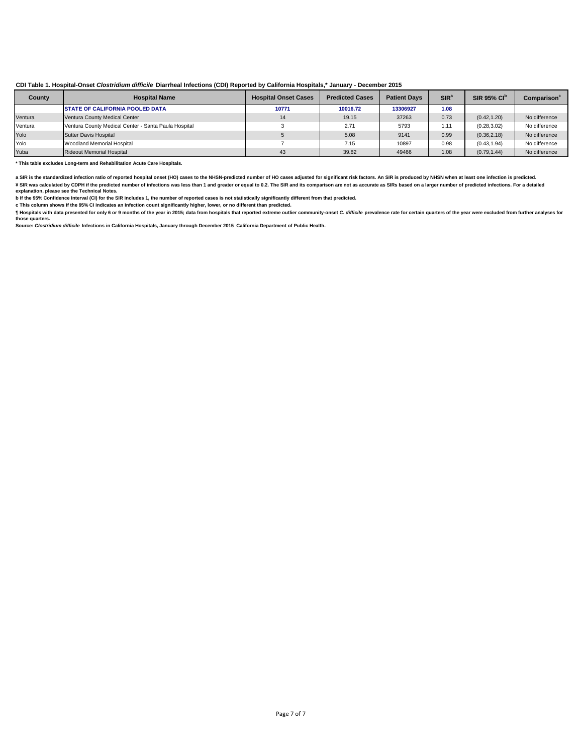| County  | <b>Hospital Name</b>                                 | <b>Hospital Onset Cases</b> | <b>Predicted Cases</b> | <b>Patient Davs</b> | $SIR^a$ | <b>SIR 95% CIP</b> | Comparison    |
|---------|------------------------------------------------------|-----------------------------|------------------------|---------------------|---------|--------------------|---------------|
|         | <b>STATE OF CALIFORNIA POOLED DATA</b>               | 10771                       | 10016.72               | 13306927            | 1.08    |                    |               |
| Ventura | Ventura County Medical Center                        | 14                          | 19.15                  | 37263               | 0.73    | (0.42.1.20)        | No difference |
| Ventura | Ventura County Medical Center - Santa Paula Hospital |                             | 2.71                   | 5793                | 1.11    | (0.28, 3.02)       | No difference |
| Yolo    | Sutter Davis Hospital                                |                             | 5.08                   | 9141                | 0.99    | (0.36, 2.18)       | No difference |
| Yolo    | Woodland Memorial Hospital                           |                             | 7.15                   | 10897               | 0.98    | (0.43, 1.94)       | No difference |
| Yuba    | <b>Rideout Memorial Hospital</b>                     | 43                          | 39.82                  | 49466               | 1.08    | (0.79, 1.44)       | No difference |

**\* This table excludes Long-term and Rehabilitation Acute Care Hospitals.** 

a SIR is the standardized infection ratio of reported hospital onset (HO) cases to the NHSN-predicted number of HO cases adjusted for significant risk factors. An SIR is produced by NHSN when at least one infection is pred ¥ SIR was calculated by CDPH if the predicted number of infections was less than 1 and greater or equal to 0.2. The SIR and its comparison are not as accurate as SIRs based on a larger number of predicted infections. For a

b it the 95% Contidence Interval (CI) for the SIR includes 1, the number of reported cases is not statistically significantly different from that predicted.<br>c This column shows if the 95% CI indicates an infection count si

¶ Hospitals with data presented for only 6 or 9 months of the year in 2015; data from hospitals that reported extreme outlier community-onset *C. difficile* prevalence rate for certain quarters of the year were excluded fr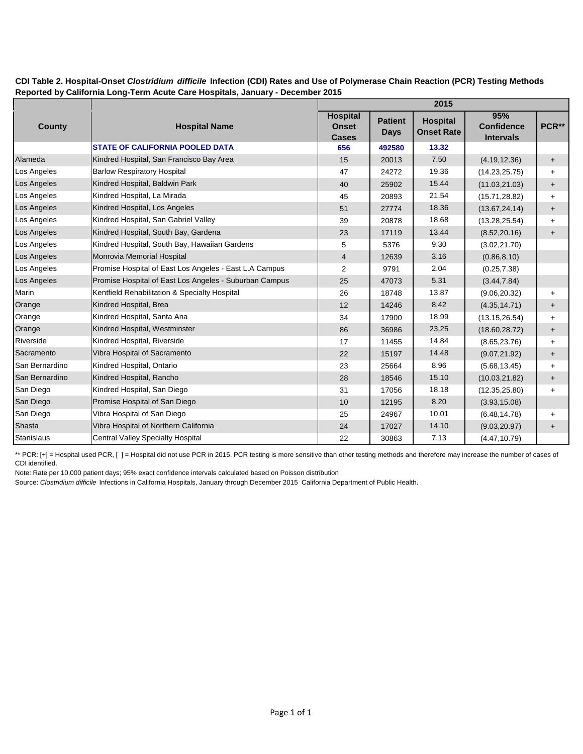### **CDI Table 2. Hospital-Onset** *Clostridium difficile* **Infection (CDI) Rates and Use of Polymerase Chain Reaction (PCR) Testing Methods Reported by California Long-Term Acute Care Hospitals, January - December 2015**

|                   |                                                        |                                                 |                               | 2015                                 |                                              |           |
|-------------------|--------------------------------------------------------|-------------------------------------------------|-------------------------------|--------------------------------------|----------------------------------------------|-----------|
| County            | <b>Hospital Name</b>                                   | <b>Hospital</b><br><b>Onset</b><br><b>Cases</b> | <b>Patient</b><br><b>Days</b> | <b>Hospital</b><br><b>Onset Rate</b> | 95%<br><b>Confidence</b><br><b>Intervals</b> | PCR**     |
|                   | <b>STATE OF CALIFORNIA POOLED DATA</b>                 | 656                                             | 492580                        | 13.32                                |                                              |           |
| Alameda           | Kindred Hospital, San Francisco Bay Area               | 15                                              | 20013                         | 7.50                                 | (4.19, 12.36)                                | $+$       |
| Los Angeles       | <b>Barlow Respiratory Hospital</b>                     | 47                                              | 24272                         | 19.36                                | (14.23, 25.75)                               | $+$       |
| Los Angeles       | Kindred Hospital, Baldwin Park                         | 40                                              | 25902                         | 15.44                                | (11.03, 21.03)                               | $\ddot{}$ |
| Los Angeles       | Kindred Hospital, La Mirada                            | 45                                              | 20893                         | 21.54                                | (15.71, 28.82)                               | $+$       |
| Los Angeles       | Kindred Hospital, Los Angeles                          | 51                                              | 27774                         | 18.36                                | (13.67, 24.14)                               | $\ddot{}$ |
| Los Angeles       | Kindred Hospital, San Gabriel Valley                   | 39                                              | 20878                         | 18.68                                | (13.28, 25.54)                               | $+$       |
| Los Angeles       | Kindred Hospital, South Bay, Gardena                   | 23                                              | 17119                         | 13.44                                | (8.52, 20.16)                                | $\ddot{}$ |
| Los Angeles       | Kindred Hospital, South Bay, Hawaiian Gardens          | 5                                               | 5376                          | 9.30                                 | (3.02, 21.70)                                |           |
| Los Angeles       | Monrovia Memorial Hospital                             | 4                                               | 12639                         | 3.16                                 | (0.86, 8.10)                                 |           |
| Los Angeles       | Promise Hospital of East Los Angeles - East L.A Campus | 2                                               | 9791                          | 2.04                                 | (0.25, 7.38)                                 |           |
| Los Angeles       | Promise Hospital of East Los Angeles - Suburban Campus | 25                                              | 47073                         | 5.31                                 | (3.44, 7.84)                                 |           |
| Marin             | Kentfield Rehabilitation & Specialty Hospital          | 26                                              | 18748                         | 13.87                                | (9.06, 20.32)                                | $+$       |
| Orange            | Kindred Hospital, Brea                                 | 12                                              | 14246                         | 8.42                                 | (4.35, 14.71)                                | $\ddot{}$ |
| Orange            | Kindred Hospital, Santa Ana                            | 34                                              | 17900                         | 18.99                                | (13.15, 26.54)                               | $+$       |
| Orange            | Kindred Hospital, Westminster                          | 86                                              | 36986                         | 23.25                                | (18.60, 28.72)                               | $\ddot{}$ |
| Riverside         | Kindred Hospital, Riverside                            | 17                                              | 11455                         | 14.84                                | (8.65, 23.76)                                | $\ddot{}$ |
| Sacramento        | Vibra Hospital of Sacramento                           | 22                                              | 15197                         | 14.48                                | (9.07, 21.92)                                | $\ddot{}$ |
| San Bernardino    | Kindred Hospital, Ontario                              | 23                                              | 25664                         | 8.96                                 | (5.68, 13.45)                                | $\ddot{}$ |
| San Bernardino    | Kindred Hospital, Rancho                               | 28                                              | 18546                         | 15.10                                | (10.03, 21.82)                               | $\ddot{}$ |
| San Diego         | Kindred Hospital, San Diego                            | 31                                              | 17056                         | 18.18                                | (12.35, 25.80)                               | $+$       |
| San Diego         | Promise Hospital of San Diego                          | 10                                              | 12195                         | 8.20                                 | (3.93, 15.08)                                |           |
| San Diego         | Vibra Hospital of San Diego                            | 25                                              | 24967                         | 10.01                                | (6.48, 14.78)                                | $\ddot{}$ |
| Shasta            | Vibra Hospital of Northern California                  | 24                                              | 17027                         | 14.10                                | (9.03, 20.97)                                | $\ddot{}$ |
| <b>Stanislaus</b> | <b>Central Valley Specialty Hospital</b>               | 22                                              | 30863                         | 7.13                                 | (4.47, 10.79)                                |           |

\*\* PCR: [+] = Hospital used PCR, [ ] = Hospital did not use PCR in 2015. PCR testing is more sensitive than other testing methods and therefore may increase the number of cases of CDI identified.

Note: Rate per 10,000 patient days; 95% exact confidence intervals calculated based on Poisson distribution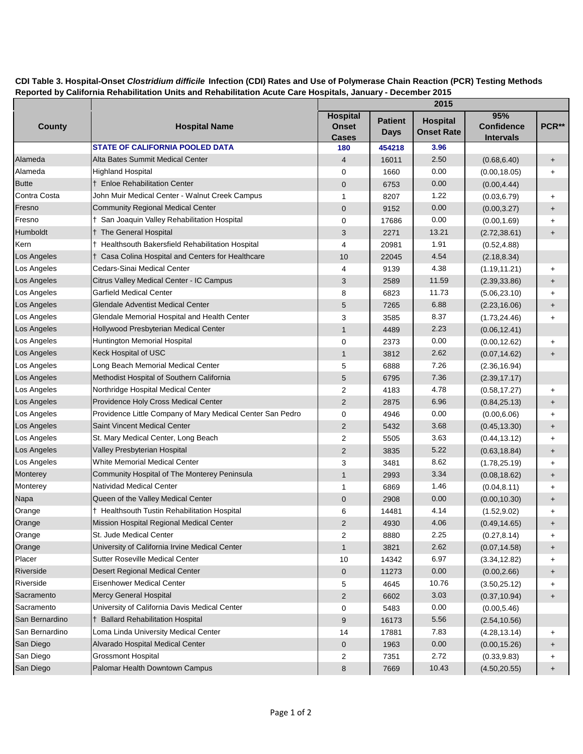## **CDI Table 3. Hospital-Onset** *Clostridium difficile* **Infection (CDI) Rates and Use of Polymerase Chain Reaction (PCR) Testing Methods Reported by California Rehabilitation Units and Rehabilitation Acute Care Hospitals, January - December 2015**

|                |                                                            |                                                 |                               | 2015                                 |                                              |                                  |
|----------------|------------------------------------------------------------|-------------------------------------------------|-------------------------------|--------------------------------------|----------------------------------------------|----------------------------------|
| <b>County</b>  | <b>Hospital Name</b>                                       | <b>Hospital</b><br><b>Onset</b><br><b>Cases</b> | <b>Patient</b><br><b>Days</b> | <b>Hospital</b><br><b>Onset Rate</b> | 95%<br><b>Confidence</b><br><b>Intervals</b> | PCR**                            |
|                | <b>STATE OF CALIFORNIA POOLED DATA</b>                     | 180                                             | 454218                        | 3.96                                 |                                              |                                  |
| Alameda        | Alta Bates Summit Medical Center                           | 4                                               | 16011                         | 2.50                                 | (0.68, 6.40)                                 | $+$                              |
| Alameda        | <b>Highland Hospital</b>                                   | 0                                               | 1660                          | 0.00                                 | (0.00, 18.05)                                | $\ddot{}$                        |
| <b>Butte</b>   | † Enloe Rehabilitation Center                              | 0                                               | 6753                          | 0.00                                 | (0.00, 4.44)                                 |                                  |
| Contra Costa   | John Muir Medical Center - Walnut Creek Campus             | 1                                               | 8207                          | 1.22                                 | (0.03, 6.79)                                 | $\ddot{}$                        |
| Fresno         | <b>Community Regional Medical Center</b>                   | $\mathbf 0$                                     | 9152                          | 0.00                                 | (0.00, 3.27)                                 | $+$                              |
| Fresno         | † San Joaquin Valley Rehabilitation Hospital               | 0                                               | 17686                         | 0.00                                 | (0.00, 1.69)                                 | $\ddot{}$                        |
| Humboldt       | <sup>†</sup> The General Hospital                          | 3                                               | 2271                          | 13.21                                | (2.72, 38.61)                                | $\begin{array}{c} + \end{array}$ |
| Kern           | † Healthsouth Bakersfield Rehabilitation Hospital          | 4                                               | 20981                         | 1.91                                 | (0.52, 4.88)                                 |                                  |
| Los Angeles    | † Casa Colina Hospital and Centers for Healthcare          | 10                                              | 22045                         | 4.54                                 | (2.18, 8.34)                                 |                                  |
| Los Angeles    | Cedars-Sinai Medical Center                                | 4                                               | 9139                          | 4.38                                 | (1.19, 11.21)                                | $\ddot{}$                        |
| Los Angeles    | Citrus Valley Medical Center - IC Campus                   | 3                                               | 2589                          | 11.59                                | (2.39, 33.86)                                | $\begin{array}{c} + \end{array}$ |
| Los Angeles    | <b>Garfield Medical Center</b>                             | 8                                               | 6823                          | 11.73                                | (5.06, 23.10)                                | $\ddot{}$                        |
| Los Angeles    | Glendale Adventist Medical Center                          | 5                                               | 7265                          | 6.88                                 | (2.23, 16.06)                                | $+$                              |
| Los Angeles    | Glendale Memorial Hospital and Health Center               | 3                                               | 3585                          | 8.37                                 | (1.73, 24.46)                                | $\ddot{}$                        |
| Los Angeles    | Hollywood Presbyterian Medical Center                      | $\mathbf{1}$                                    | 4489                          | 2.23                                 | (0.06, 12.41)                                |                                  |
| Los Angeles    | Huntington Memorial Hospital                               | 0                                               | 2373                          | 0.00                                 | (0.00, 12.62)                                | $\ddot{}$                        |
| Los Angeles    | Keck Hospital of USC                                       | $\mathbf{1}$                                    | 3812                          | 2.62                                 | (0.07, 14.62)                                | $\ddot{}$                        |
| Los Angeles    | Long Beach Memorial Medical Center                         | 5                                               | 6888                          | 7.26                                 | (2.36, 16.94)                                |                                  |
| Los Angeles    | Methodist Hospital of Southern California                  | 5                                               | 6795                          | 7.36                                 | (2.39, 17.17)                                |                                  |
| Los Angeles    | Northridge Hospital Medical Center                         | 2                                               | 4183                          | 4.78                                 | (0.58, 17.27)                                | $\ddot{}$                        |
| Los Angeles    | Providence Holy Cross Medical Center                       | $\overline{2}$                                  | 2875                          | 6.96                                 | (0.84, 25.13)                                | $+$                              |
| Los Angeles    | Providence Little Company of Mary Medical Center San Pedro | 0                                               | 4946                          | 0.00                                 | (0.00, 6.06)                                 | $\ddot{}$                        |
| Los Angeles    | Saint Vincent Medical Center                               | $\overline{2}$                                  | 5432                          | 3.68                                 | (0.45, 13.30)                                | $+$                              |
| Los Angeles    | St. Mary Medical Center, Long Beach                        | 2                                               | 5505                          | 3.63                                 | (0.44, 13.12)                                | $\ddot{}$                        |
| Los Angeles    | Valley Presbyterian Hospital                               | $\overline{2}$                                  | 3835                          | 5.22                                 | (0.63, 18.84)                                | $+$                              |
| Los Angeles    | White Memorial Medical Center                              | 3                                               | 3481                          | 8.62                                 | (1.78, 25.19)                                | $\ddot{}$                        |
| Monterey       | Community Hospital of The Monterey Peninsula               | $\mathbf{1}$                                    | 2993                          | 3.34                                 | (0.08, 18.62)                                | $+$                              |
| Monterey       | <b>Natividad Medical Center</b>                            | 1                                               | 6869                          | 1.46                                 | (0.04, 8.11)                                 | $\ddot{}$                        |
| Napa           | Queen of the Valley Medical Center                         | $\pmb{0}$                                       | 2908                          | 0.00                                 | (0.00, 10.30)                                | $\ddot{}$                        |
| Orange         | † Healthsouth Tustin Rehabilitation Hospital               | 6                                               | 14481                         | 4.14                                 | (1.52, 9.02)                                 | +                                |
| Orange         | Mission Hospital Regional Medical Center                   | $\overline{2}$                                  | 4930                          | 4.06                                 | (0.49, 14.65)                                | +                                |
| Orange         | St. Jude Medical Center                                    | 2                                               | 8880                          | 2.25                                 | (0.27, 8.14)                                 | +                                |
| Orange         | University of California Irvine Medical Center             | $\mathbf{1}$                                    | 3821                          | 2.62                                 | (0.07, 14.58)                                | $+$                              |
| Placer         | Sutter Roseville Medical Center                            | 10                                              | 14342                         | 6.97                                 | (3.34, 12.82)                                | +                                |
| Riverside      | Desert Regional Medical Center                             | 0                                               | 11273                         | 0.00                                 | (0.00, 2.66)                                 | $\ddot{}$                        |
| Riverside      | <b>Eisenhower Medical Center</b>                           | 5                                               | 4645                          | 10.76                                | (3.50, 25.12)                                | $\ddot{}$                        |
| Sacramento     | Mercy General Hospital                                     | $\overline{2}$                                  | 6602                          | 3.03                                 | (0.37, 10.94)                                | $\ddot{}$                        |
| Sacramento     | University of California Davis Medical Center              | 0                                               | 5483                          | 0.00                                 | (0.00, 5.46)                                 |                                  |
| San Bernardino | † Ballard Rehabilitation Hospital                          | 9                                               | 16173                         | 5.56                                 | (2.54, 10.56)                                |                                  |
| San Bernardino | Loma Linda University Medical Center                       | 14                                              | 17881                         | 7.83                                 | (4.28, 13.14)                                | +                                |
| San Diego      | Alvarado Hospital Medical Center                           | 0                                               | 1963                          | $0.00\,$                             | (0.00, 15.26)                                | $+$                              |
| San Diego      | <b>Grossmont Hospital</b>                                  | 2                                               | 7351                          | 2.72                                 | (0.33, 9.83)                                 | +                                |
| San Diego      | Palomar Health Downtown Campus                             | 8                                               | 7669                          | 10.43                                | (4.50, 20.55)                                | $\ddot{}$                        |
|                |                                                            |                                                 |                               |                                      |                                              |                                  |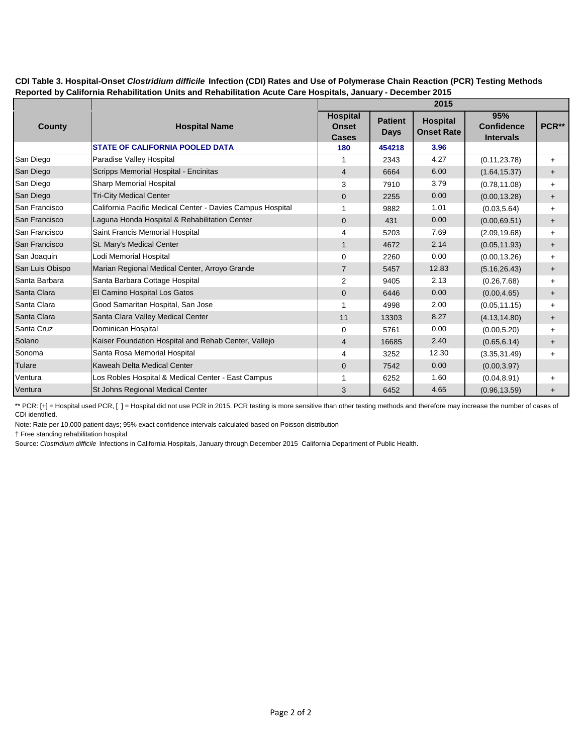| CDI Table 3. Hospital-Onset Clostridium difficile Infection (CDI) Rates and Use of Polymerase Chain Reaction (PCR) Testing Methods |  |
|------------------------------------------------------------------------------------------------------------------------------------|--|
| Reported by California Rehabilitation Units and Rehabilitation Acute Care Hospitals, January - December 2015                       |  |

|                 |                                                            | 2015                                            |                               |                                      |                                              |           |  |
|-----------------|------------------------------------------------------------|-------------------------------------------------|-------------------------------|--------------------------------------|----------------------------------------------|-----------|--|
| County          | <b>Hospital Name</b>                                       | <b>Hospital</b><br><b>Onset</b><br><b>Cases</b> | <b>Patient</b><br><b>Days</b> | <b>Hospital</b><br><b>Onset Rate</b> | 95%<br><b>Confidence</b><br><b>Intervals</b> | PCR**     |  |
|                 | <b>STATE OF CALIFORNIA POOLED DATA</b>                     | 180                                             | 454218                        | 3.96                                 |                                              |           |  |
| San Diego       | Paradise Valley Hospital                                   | 1                                               | 2343                          | 4.27                                 | (0.11, 23.78)                                | $+$       |  |
| San Diego       | Scripps Memorial Hospital - Encinitas                      | $\overline{4}$                                  | 6664                          | 6.00                                 | (1.64, 15.37)                                | $\ddot{}$ |  |
| San Diego       | <b>Sharp Memorial Hospital</b>                             | 3                                               | 7910                          | 3.79                                 | (0.78, 11.08)                                | $+$       |  |
| San Diego       | <b>Tri-City Medical Center</b>                             | $\mathbf 0$                                     | 2255                          | 0.00                                 | (0.00, 13.28)                                | $\ddot{}$ |  |
| San Francisco   | California Pacific Medical Center - Davies Campus Hospital | 1                                               | 9882                          | 1.01                                 | (0.03, 5.64)                                 | $\ddot{}$ |  |
| San Francisco   | Laguna Honda Hospital & Rehabilitation Center              | $\mathbf{0}$                                    | 431                           | 0.00                                 | (0.00, 69.51)                                | $\ddot{}$ |  |
| San Francisco   | Saint Francis Memorial Hospital                            | 4                                               | 5203                          | 7.69                                 | (2.09, 19.68)                                | $+$       |  |
| San Francisco   | St. Mary's Medical Center                                  | $\mathbf{1}$                                    | 4672                          | 2.14                                 | (0.05, 11.93)                                | $\ddot{}$ |  |
| San Joaquin     | Lodi Memorial Hospital                                     | $\mathbf 0$                                     | 2260                          | 0.00                                 | (0.00, 13.26)                                | $+$       |  |
| San Luis Obispo | Marian Regional Medical Center, Arroyo Grande              | $\overline{7}$                                  | 5457                          | 12.83                                | (5.16, 26.43)                                | $\ddot{}$ |  |
| Santa Barbara   | Santa Barbara Cottage Hospital                             | $\overline{2}$                                  | 9405                          | 2.13                                 | (0.26, 7.68)                                 | $+$       |  |
| Santa Clara     | El Camino Hospital Los Gatos                               | $\mathbf{0}$                                    | 6446                          | 0.00                                 | (0.00, 4.65)                                 | $\pm$     |  |
| Santa Clara     | Good Samaritan Hospital, San Jose                          | 1                                               | 4998                          | 2.00                                 | (0.05, 11.15)                                | $+$       |  |
| Santa Clara     | Santa Clara Valley Medical Center                          | 11                                              | 13303                         | 8.27                                 | (4.13, 14.80)                                | $\ddot{}$ |  |
| Santa Cruz      | Dominican Hospital                                         | 0                                               | 5761                          | 0.00                                 | (0.00, 5.20)                                 | $+$       |  |
| Solano          | Kaiser Foundation Hospital and Rehab Center, Vallejo       | $\overline{4}$                                  | 16685                         | 2.40                                 | (0.65, 6.14)                                 | $\ddot{}$ |  |
| Sonoma          | Santa Rosa Memorial Hospital                               | 4                                               | 3252                          | 12.30                                | (3.35, 31.49)                                | $+$       |  |
| Tulare          | Kaweah Delta Medical Center                                | $\mathbf 0$                                     | 7542                          | 0.00                                 | (0.00, 3.97)                                 |           |  |
| Ventura         | Los Robles Hospital & Medical Center - East Campus         | 1                                               | 6252                          | 1.60                                 | (0.04, 8.91)                                 | $\ddot{}$ |  |
| Ventura         | St Johns Regional Medical Center                           | 3                                               | 6452                          | 4.65                                 | (0.96, 13.59)                                | $\ddot{}$ |  |

\*\* PCR: [+] = Hospital used PCR, [ ] = Hospital did not use PCR in 2015. PCR testing is more sensitive than other testing methods and therefore may increase the number of cases of CDI identified.

Note: Rate per 10,000 patient days; 95% exact confidence intervals calculated based on Poisson distribution

† Free standing rehabilitation hospital